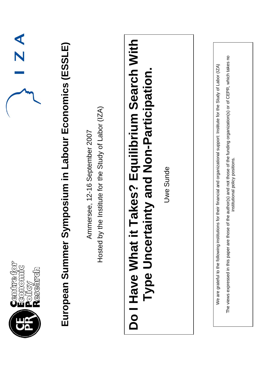| $\mathbb{Z}$ $\mathbb{A}$                    | mposium in Labour Economics (ESSLE) | Hosted by the Institute for the Study of Labor (IZA)<br>Ammersee, 12-16 September 2007 | <b>Fakes? Equilibrium Search With<br/>inty and Non-Participation.</b> | Uwe Sunde | the author(s) and not those of the funding organization(s) or of CEPR, which takes no<br>for their financial and organizational support: Institute for the Study of Labor (IZA)<br>institutional policy positions. |
|----------------------------------------------|-------------------------------------|----------------------------------------------------------------------------------------|-----------------------------------------------------------------------|-----------|--------------------------------------------------------------------------------------------------------------------------------------------------------------------------------------------------------------------|
| Centre for<br>Economic<br>Policy<br>Research | European Summer Syn                 |                                                                                        | Have What it 1<br>Type Uncerta<br>$\overline{\mathsf{O}}$             |           | The views expressed in this paper are those of<br>We are grateful to the following institutions                                                                                                                    |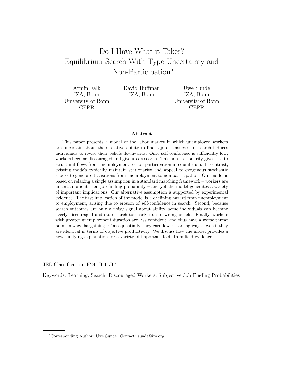# Do I Have What it Takes? Equilibrium Search With Type Uncertainty and Non-Participation<sup>∗</sup>

Armin Falk IZA, Bonn University of Bonn CEPR

David Huffman IZA, Bonn

Uwe Sunde IZA, Bonn University of Bonn CEPR

#### Abstract

This paper presents a model of the labor market in which unemployed workers are uncertain about their relative ability to find a job. Unsuccessful search induces individuals to revise their beliefs downwards. Once self-confidence is sufficiently low, workers become discouraged and give up on search. This non-stationarity gives rise to structural flows from unemployment to non-participation in equilibrium. In contrast, existing models typically maintain stationarity and appeal to exogenous stochastic shocks to generate transitions from unemployment to non-participation. Our model is based on relaxing a single assumption in a standard matching framework – workers are uncertain about their job finding probability  $-$  and yet the model generates a variety of important implications. Our alternative assumption is supported by experimental evidence. The first implication of the model is a declining hazard from unemployment to employment, arising due to erosion of self-confidence in search. Second, because search outcomes are only a noisy signal about ability, some individuals can become overly discouraged and stop search too early due to wrong beliefs. Finally, workers with greater unemployment duration are less confident, and thus have a worse threat point in wage bargaining. Consequentially, they earn lower starting wages even if they are identical in terms of objective productivity. We discuss how the model provides a new, unifying explanation for a variety of important facts from field evidence.

JEL-Classification: E24, J60, J64

Keywords: Learning, Search, Discouraged Workers, Subjective Job Finding Probabilities

<sup>∗</sup>Corresponding Author: Uwe Sunde. Contact: sunde@iza.org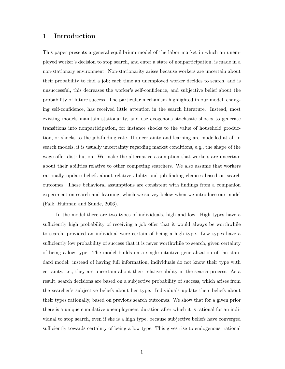## 1 Introduction

This paper presents a general equilibrium model of the labor market in which an unemployed worker's decision to stop search, and enter a state of nonparticipation, is made in a non-stationary environment. Non-stationarity arises because workers are uncertain about their probability to find a job; each time an unemployed worker decides to search, and is unsuccessful, this decreases the worker's self-confidence, and subjective belief about the probability of future success. The particular mechanism highlighted in our model, changing self-confidence, has received little attention in the search literature. Instead, most existing models maintain stationarity, and use exogenous stochastic shocks to generate transitions into nonparticipation, for instance shocks to the value of household production, or shocks to the job-finding rate. If uncertainty and learning are modelled at all in search models, it is usually uncertainty regarding market conditions, e.g., the shape of the wage offer distribution. We make the alternative assumption that workers are uncertain about their abilities relative to other competing searchers. We also assume that workers rationally update beliefs about relative ability and job-finding chances based on search outcomes. These behavioral assumptions are consistent with findings from a companion experiment on search and learning, which we survey below when we introduce our model (Falk, Huffman and Sunde, 2006).

In the model there are two types of individuals, high and low. High types have a sufficiently high probability of receiving a job offer that it would always be worthwhile to search, provided an individual were certain of being a high type. Low types have a sufficiently low probability of success that it is never worthwhile to search, given certainty of being a low type. The model builds on a single intuitive generalization of the standard model: instead of having full information, individuals do not know their type with certainty, i.e., they are uncertain about their relative ability in the search process. As a result, search decisions are based on a subjective probability of success, which arises from the searcher's subjective beliefs about her type. Individuals update their beliefs about their types rationally, based on previous search outcomes. We show that for a given prior there is a unique cumulative unemployment duration after which it is rational for an individual to stop search, even if she is a high type, because subjective beliefs have converged sufficiently towards certainty of being a low type. This gives rise to endogenous, rational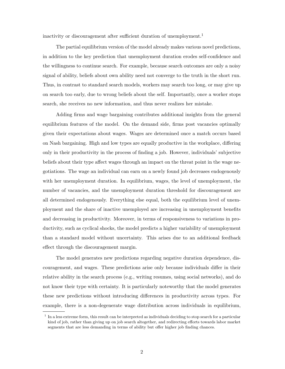inactivity or discouragement after sufficient duration of unemployment.<sup>1</sup>

The partial equilibrium version of the model already makes various novel predictions, in addition to the key prediction that unemployment duration erodes self-confidence and the willingness to continue search. For example, because search outcomes are only a noisy signal of ability, beliefs about own ability need not converge to the truth in the short run. Thus, in contrast to standard search models, workers may search too long, or may give up on search too early, due to wrong beliefs about the self. Importantly, once a worker stops search, she receives no new information, and thus never realizes her mistake.

Adding firms and wage bargaining contributes additional insights from the general equilibrium features of the model. On the demand side, firms post vacancies optimally given their expectations about wages. Wages are determined once a match occurs based on Nash bargaining. High and low types are equally productive in the workplace, differing only in their productivity in the process of finding a job. However, individuals' subjective beliefs about their type affect wages through an impact on the threat point in the wage negotiations. The wage an individual can earn on a newly found job decreases endogenously with her unemployment duration. In equilibrium, wages, the level of unemployment, the number of vacancies, and the unemployment duration threshold for discouragement are all determined endogenously. Everything else equal, both the equilibrium level of unemployment and the share of inactive unemployed are increasing in unemployment benefits and decreasing in productivity. Moreover, in terms of responsiveness to variations in productivity, such as cyclical shocks, the model predicts a higher variability of unemployment than a standard model without uncertainty. This arises due to an additional feedback effect through the discouragement margin.

The model generates new predictions regarding negative duration dependence, discouragement, and wages. These predictions arise only because individuals differ in their relative ability in the search process (e.g., writing resumes, using social networks), and do not know their type with certainty. It is particularly noteworthy that the model generates these new predictions without introducing differences in productivity across types. For example, there is a non-degenerate wage distribution across individuals in equilibrium,

<sup>&</sup>lt;sup>1</sup> In a less extreme form, this result can be interpreted as individuals deciding to stop search for a particular kind of job, rather than giving up on job search altogether, and redirecting efforts towards labor market segments that are less demanding in terms of ability but offer higher job finding chances.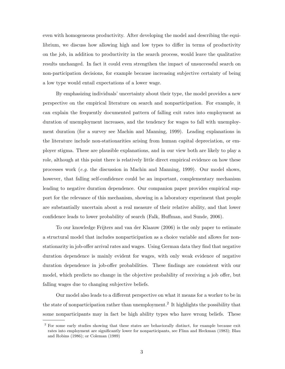even with homogeneous productivity. After developing the model and describing the equilibrium, we discuss how allowing high and low types to differ in terms of productivity on the job, in addition to productivity in the search process, would leave the qualitative results unchanged. In fact it could even strengthen the impact of unsuccessful search on non-participation decisions, for example because increasing subjective certainty of being a low type would entail expectations of a lower wage.

By emphasizing individuals' uncertainty about their type, the model provides a new perspective on the empirical literature on search and nonparticipation. For example, it can explain the frequently documented pattern of falling exit rates into employment as duration of unemployment increases, and the tendency for wages to fall with unemployment duration (for a survey see Machin and Manning, 1999). Leading explanations in the literature include non-stationarities arising from human capital depreciation, or employer stigma. These are plausible explanations, and in our view both are likely to play a role, although at this point there is relatively little direct empirical evidence on how these processes work  $(e,q)$ , the discussion in Machin and Manning, 1999). Our model shows, however, that falling self-confidence could be an important, complementary mechanism leading to negative duration dependence. Our companion paper provides empirical support for the relevance of this mechanism, showing in a laboratory experiment that people are substantially uncertain about a real measure of their relative ability, and that lower confidence leads to lower probability of search (Falk, Huffman, and Sunde, 2006).

To our knowledge Frijters and van der Klaauw (2006) is the only paper to estimate a structural model that includes nonparticipation as a choice variable and allows for nonstationarity in job-offer arrival rates and wages. Using German data they find that negative duration dependence is mainly evident for wages, with only weak evidence of negative duration dependence in job-offer probabilities. These findings are consistent with our model, which predicts no change in the objective probability of receiving a job offer, but falling wages due to changing subjective beliefs.

Our model also leads to a different perspective on what it means for a worker to be in the state of nonparticipation rather than unemployment.<sup>2</sup> It highlights the possibility that some nonparticipants may in fact be high ability types who have wrong beliefs. These

<sup>2</sup> For some early studies showing that these states are behaviorally distinct, for example because exit rates into employment are significantly lower for nonparticipants, see Flinn and Heckman (1983); Blau and Robins (1986); or Coleman (1989)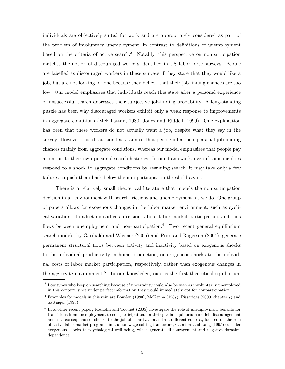individuals are objectively suited for work and are appropriately considered as part of the problem of involuntary unemployment, in contrast to definitions of unemployment based on the criteria of active search.<sup>3</sup> Notably, this perspective on nonparticipation matches the notion of discouraged workers identified in US labor force surveys. People are labelled as discouraged workers in these surveys if they state that they would like a job, but are not looking for one because they believe that their job finding chances are too low. Our model emphasizes that individuals reach this state after a personal experience of unsuccessful search depresses their subjective job-finding probability. A long-standing puzzle has been why discouraged workers exhibit only a weak response to improvements in aggregate conditions (McElhattan, 1980; Jones and Riddell, 1999). One explanation has been that these workers do not actually want a job, despite what they say in the survey. However, this discussion has assumed that people infer their personal job-finding chances mainly from aggregate conditions, whereas our model emphasizes that people pay attention to their own personal search histories. In our framework, even if someone does respond to a shock to aggregate conditions by resuming search, it may take only a few failures to push them back below the non-participation threshold again.

There is a relatively small theoretical literature that models the nonparticipation decision in an environment with search frictions and unemployment, as we do. One group of papers allows for exogenous changes in the labor market environment, such as cyclical variations, to affect individuals' decisions about labor market participation, and thus flows between unemployment and non-participation.<sup>4</sup> Two recent general equilibrium search models, by Garibaldi and Wasmer (2005) and Pries and Rogerson (2004), generate permanent structural flows between activity and inactivity based on exogenous shocks to the individual productivity in home production, or exogenous shocks to the individual costs of labor market participation, respectively, rather than exogenous changes in the aggregate environment.<sup>5</sup> To our knowledge, ours is the first theoretical equilibrium

<sup>&</sup>lt;sup>3</sup> Low types who keep on searching because of uncertainty could also be seen as involuntarily unemployed in this context, since under perfect information they would immediately opt for nonparticipation.

<sup>4</sup> Examples for models in this vein are Bowden (1980), McKenna (1987), Pissarides (2000, chapter 7) and Sattinger (1995).

<sup>&</sup>lt;sup>5</sup> In another recent paper, Rosholm and Toomet (2005) investigate the role of unemployment benefits for transitions from unemployment to non-participation. In their partial equilibrium model, discouragement arises as consequence of shocks to the job offer arrival rate. In a different context, focused on the role of active labor market programs in a union wage-setting framework, Calmfors and Lang (1995) consider exogenous shocks to psychological well-being, which generate discouragement and negative duration dependence.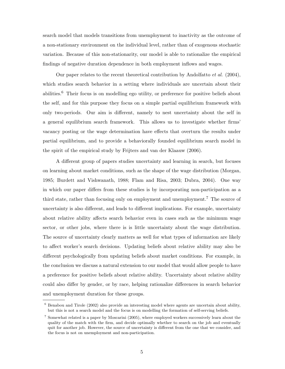search model that models transitions from unemployment to inactivity as the outcome of a non-stationary environment on the individual level, rather than of exogenous stochastic variation. Because of this non-stationarity, our model is able to rationalize the empirical findings of negative duration dependence in both employment inflows and wages.

Our paper relates to the recent theoretical contribution by Andolfatto *et al.* (2004), which studies search behavior in a setting where individuals are uncertain about their abilities.<sup>6</sup> Their focus is on modelling ego utility, or preference for positive beliefs about the self, and for this purpose they focus on a simple partial equilibrium framework with only two-periods. Our aim is different, namely to nest uncertainty about the self in a general equilibrium search framework. This allows us to investigate whether firms' vacancy posting or the wage determination have effects that overturn the results under partial equilibrium, and to provide a behaviorally founded equilibrium search model in the spirit of the empirical study by Frijters and van der Klaauw (2006).

A different group of papers studies uncertainty and learning in search, but focuses on learning about market conditions, such as the shape of the wage distribution (Morgan, 1985; Burdett and Vishwanath, 1988; Flam and Risa, 2003; Dubra, 2004). One way in which our paper differs from these studies is by incorporating non-participation as a third state, rather than focusing only on employment and unemployment.<sup>7</sup> The source of uncertainty is also different, and leads to different implications. For example, uncertainty about relative ability affects search behavior even in cases such as the minimum wage sector, or other jobs, where there is is little uncertainty about the wage distribution. The source of uncertainty clearly matters as well for what types of information are likely to affect worker's search decisions. Updating beliefs about relative ability may also be different psychologically from updating beliefs about market conditions. For example, in the conclusion we discuss a natural extension to our model that would allow people to have a preference for positive beliefs about relative ability. Uncertainty about relative ability could also differ by gender, or by race, helping rationalize differences in search behavior and unemployment duration for these groups.

 $6$  Benabou and Tirole (2002) also provide an interesting model where agents are uncertain about ability, but this is not a search model and the focus is on modelling the formation of self-serving beliefs.

<sup>&</sup>lt;sup>7</sup> Somewhat related is a paper by Moscarini (2005), where employed workers successively learn about the quality of the match with the firm, and decide optimally whether to search on the job and eventually quit for another job. However, the source of uncertainty is different from the one that we consider, and the focus is not on unemployment and non-participation.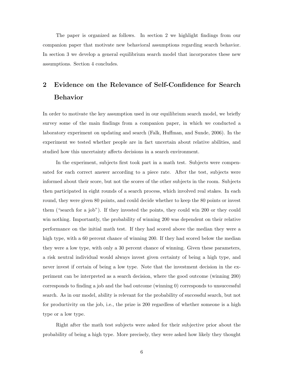The paper is organized as follows. In section 2 we highlight findings from our companion paper that motivate new behavioral assumptions regarding search behavior. In section 3 we develop a general equilibrium search model that incorporates these new assumptions. Section 4 concludes.

# 2 Evidence on the Relevance of Self-Confidence for Search Behavior

In order to motivate the key assumption used in our equilibrium search model, we briefly survey some of the main findings from a companion paper, in which we conducted a laboratory experiment on updating and search (Falk, Huffman, and Sunde, 2006). In the experiment we tested whether people are in fact uncertain about relative abilities, and studied how this uncertainty affects decisions in a search environment.

In the experiment, subjects first took part in a math test. Subjects were compensated for each correct answer according to a piece rate. After the test, subjects were informed about their score, but not the scores of the other subjects in the room. Subjects then participated in eight rounds of a search process, which involved real stakes. In each round, they were given 80 points, and could decide whether to keep the 80 points or invest them ("search for a job"). If they invested the points, they could win 200 or they could win nothing. Importantly, the probability of winning 200 was dependent on their relative performance on the initial math test. If they had scored above the median they were a high type, with a 60 percent chance of winning 200. If they had scored below the median they were a low type, with only a 30 percent chance of winning. Given these parameters, a risk neutral individual would always invest given certainty of being a high type, and never invest if certain of being a low type. Note that the investment decision in the experiment can be interpreted as a search decision, where the good outcome (winning 200) corresponds to finding a job and the bad outcome (winning 0) corresponds to unsuccessful search. As in our model, ability is relevant for the probability of successful search, but not for productivity on the job, i.e., the prize is 200 regardless of whether someone is a high type or a low type.

Right after the math test subjects were asked for their subjective prior about the probability of being a high type. More precisely, they were asked how likely they thought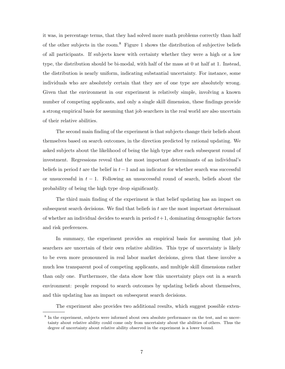it was, in percentage terms, that they had solved more math problems correctly than half of the other subjects in the room.<sup>8</sup> Figure 1 shows the distribution of subjective beliefs of all participants. If subjects knew with certainty whether they were a high or a low type, the distribution should be bi-modal, with half of the mass at 0 at half at 1. Instead, the distribution is nearly uniform, indicating substantial uncertainty. For instance, some individuals who are absolutely certain that they are of one type are absolutely wrong. Given that the environment in our experiment is relatively simple, involving a known number of competing applicants, and only a single skill dimension, these findings provide a strong empirical basis for assuming that job searchers in the real world are also uncertain of their relative abilities.

The second main finding of the experiment is that subjects change their beliefs about themselves based on search outcomes, in the direction predicted by rational updating. We asked subjects about the likelihood of being the high type after each subsequent round of investment. Regressions reveal that the most important determinants of an individual's beliefs in period t are the belief in  $t-1$  and an indicator for whether search was successful or unsuccessful in  $t - 1$ . Following an unsuccessful round of search, beliefs about the probability of being the high type drop significantly.

The third main finding of the experiment is that belief updating has an impact on subsequent search decisions. We find that beliefs in  $t$  are the most important determinant of whether an individual decides to search in period  $t+1$ , dominating demographic factors and risk preferences.

In summary, the experiment provides an empirical basis for assuming that job searchers are uncertain of their own relative abilities. This type of uncertainty is likely to be even more pronounced in real labor market decisions, given that these involve a much less transparent pool of competing applicants, and multiple skill dimensions rather than only one. Furthermore, the data show how this uncertainty plays out in a search environment: people respond to search outcomes by updating beliefs about themselves, and this updating has an impact on subsequent search decisions.

The experiment also provides two additional results, which suggest possible exten-

<sup>&</sup>lt;sup>8</sup> In the experiment, subjects were informed about own absolute performance on the test, and so uncertainty about relative ability could come only from uncertainty about the abilities of others. Thus the degree of uncertainty about relative ability observed in the experiment is a lower bound.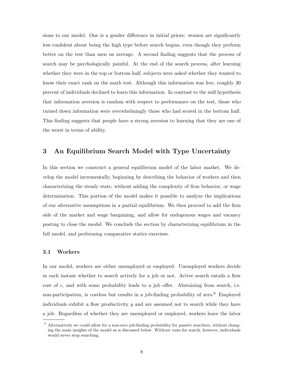sions to our model. One is a gender difference in initial priors: women are significantly less confident about being the high type before search begins, even though they perform better on the test than men on average. A second finding suggests that the process of search may be psychologically painful. At the end of the search process, after learning whether they were in the top or bottom half, subjects were asked whether they wanted to know their exact rank on the math test. Although this information was free, roughly 30 percent of individuals declined to learn this information. In contrast to the null hypothesis that information aversion is random with respect to performance on the test, those who turned down information were overwhelmingly those who had scored in the bottom half. This finding suggests that people have a strong aversion to learning that they are one of the worst in terms of ability.

# 3 An Equilibrium Search Model with Type Uncertainty

In this section we construct a general equilibrium model of the labor market. We develop the model incrementally, beginning by describing the behavior of workers and then characterizing the steady state, without adding the complexity of firm behavior, or wage determination. This portion of the model makes it possible to analyze the implications of our alternative assumptions in a partial equilibrium. We then proceed to add the firm side of the market and wage bargaining, and allow for endogenous wages and vacancy posting to close the model. We conclude the section by characterizing equilibrium in the full model, and performing comparative statics exercises.

#### 3.1 Workers

In our model, workers are either unemployed or employed. Unemployed workers decide in each instant whether to search actively for a job or not. Active search entails a flow cost of c, and with some probability leads to a job offer. Abstaining from search, i.e. non-participation, is costless but results in a job-finding probability of zero.<sup>9</sup> Employed individuals exhibit a flow productivity  $y$  and are assumed not to search while they have a job. Regardless of whether they are unemployed or employed, workers leave the labor

<sup>9</sup> Alternatively we could allow for a non-zero job-finding probability for passive searchers, without changing the main insights of the model as is discussed below. Without costs for search, however, individuals would never stop searching.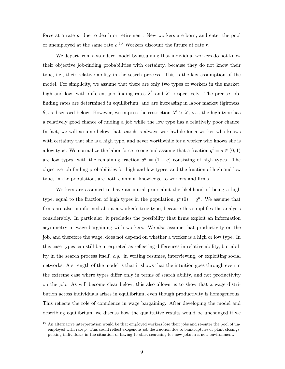force at a rate  $\rho$ , due to death or retirement. New workers are born, and enter the pool of unemployed at the same rate  $\rho$ .<sup>10</sup> Workers discount the future at rate r.

We depart from a standard model by assuming that individual workers do not know their objective job-finding probabilities with certainty, because they do not know their type, i.e., their relative ability in the search process. This is the key assumption of the model. For simplicity, we assume that there are only two types of workers in the market, high and low, with different job finding rates  $\lambda^h$  and  $\lambda^l$ , respectively. The precise jobfinding rates are determined in equilibrium, and are increasing in labor market tightness, θ, as discussed below. However, we impose the restriction  $\lambda^h > \lambda^l$ , *i.e.*, the high type has a relatively good chance of finding a job while the low type has a relatively poor chance. In fact, we will assume below that search is always worthwhile for a worker who knows with certainty that she is a high type, and never worthwhile for a worker who knows she is a low type. We normalize the labor force to one and assume that a fraction  $q^l = q \in (0, 1)$ are low types, with the remaining fraction  $q^h = (1 - q)$  consisting of high types. The objective job-finding probabilities for high and low types, and the fraction of high and low types in the population, are both common knowledge to workers and firms.

Workers are assumed to have an initial prior abut the likelihood of being a high type, equal to the fraction of high types in the population,  $p^h(0) = q^h$ . We assume that firms are also uninformed about a worker's true type, because this simplifies the analysis considerably. In particular, it precludes the possibility that firms exploit an information asymmetry in wage bargaining with workers. We also assume that productivity on the job, and therefore the wage, does not depend on whether a worker is a high or low type. In this case types can still be interpreted as reflecting differences in relative ability, but ability in the search process itself, e.g., in writing resumes, interviewing, or exploiting social networks. A strength of the model is that it shows that the intuition goes through even in the extreme case where types differ only in terms of search ability, and not productivity on the job. As will become clear below, this also allows us to show that a wage distribution across individuals arises in equilibrium, even though productivity is homogeneous. This reflects the role of confidence in wage bargaining. After developing the model and describing equilibrium, we discuss how the qualitative results would be unchanged if we

<sup>&</sup>lt;sup>10</sup> An alternative interpretation would be that employed workers lose their jobs and re-enter the pool of unemployed with rate  $\rho$ . This could reflect exogenous job destruction due to bankruptcies or plant closings, putting individuals in the situation of having to start searching for new jobs in a new environment.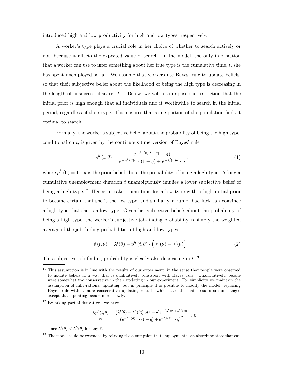introduced high and low productivity for high and low types, respectively.

A worker's type plays a crucial role in her choice of whether to search actively or not, because it affects the expected value of search. In the model, the only information that a worker can use to infer something about her true type is the cumulative time,  $t$ , she has spent unemployed so far. We assume that workers use Bayes' rule to update beliefs, so that their subjective belief about the likelihood of being the high type is decreasing in the length of unsuccessful search  $t$ .<sup>11</sup> Below, we will also impose the restriction that the initial prior is high enough that all individuals find it worthwhile to search in the initial period, regardless of their type. This ensures that some portion of the population finds it optimal to search.

Formally, the worker's subjective belief about the probability of being the high type, conditional on  $t$ , is given by the continuous time version of Bayes' rule

$$
p^{h}\left(t,\theta\right) = \frac{e^{-\lambda^{h}\left(\theta\right)\cdot t} \cdot (1-q)}{e^{-\lambda^{h}\left(\theta\right)\cdot t} \cdot (1-q) + e^{-\lambda^{l}\left(\theta\right)\cdot t} \cdot q},\tag{1}
$$

where  $p^{h}(0) = 1-q$  is the prior belief about the probability of being a high type. A longer cumulative unemployment duration  $t$  unambiguously implies a lower subjective belief of being a high type.<sup>12</sup> Hence, it takes some time for a low type with a high initial prior to become certain that she is the low type, and similarly, a run of bad luck can convince a high type that she is a low type. Given her subjective beliefs about the probability of being a high type, the worker's subjective job-finding probability is simply the weighted average of the job-finding probabilities of high and low types

$$
\widetilde{p}(t,\theta) = \lambda^{l}(\theta) + p^{h}(t,\theta) \cdot \left(\lambda^{h}(\theta) - \lambda^{l}(\theta)\right).
$$
\n(2)

This subjective job-finding probability is clearly also decreasing in  $t^{13}$ .

<sup>12</sup> By taking partial derivatives, we have

$$
\frac{\partial p^h(t,\theta)}{\partial t} = \frac{\left(\lambda^l(\theta) - \lambda^h(\theta)\right)q(1-q)e^{-(\lambda^h(\theta) + \lambda^l(\theta))t}}{\left(e^{-\lambda^h(\theta) \cdot t} \cdot (1-q) + e^{-\lambda^l(\theta) \cdot t} \cdot q\right)^2} < 0
$$

since  $\lambda^l(\theta) < \lambda^h(\theta)$  for any  $\theta$ .

 $11$  This assumption is in line with the results of our experiment, in the sense that people were observed to update beliefs in a way that is qualitatively consistent with Bayes' rule. Quantitatively, people were somewhat too conservative in their updating in our experiment. For simplicity we maintain the assumption of fully-rational updating, but in principle it is possible to modify the model, replacing Bayes' rule with a more conservative updating rule, in which case the main results are unchanged except that updating occurs more slowly.

<sup>&</sup>lt;sup>13</sup> The model could be extended by relaxing the assumption that employment is an absorbing state that can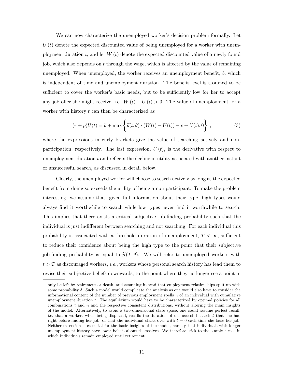We can now characterize the unemployed worker's decision problem formally. Let  $U(t)$  denote the expected discounted value of being unemployed for a worker with unemployment duration t, and let  $W(t)$  denote the expected discounted value of a newly found job, which also depends on t through the wage, which is affected by the value of remaining unemployed. When unemployed, the worker receives an unemployment benefit, b, which is independent of time and unemployment duration. The benefit level is assumed to be sufficient to cover the worker's basic needs, but to be sufficiently low for her to accept any job offer she might receive, i.e.  $W(t) - U(t) > 0$ . The value of unemployment for a worker with history  $t$  can then be characterized as

$$
(r+\rho)U(t) = b + \max \left\{ \tilde{p}(t,\theta) \cdot (W(t) - U(t)) - c + U(t), 0 \right\},
$$
 (3)

where the expressions in curly brackets give the value of searching actively and nonparticipation, respectively. The last expression,  $\dot{U}(t)$ , is the derivative with respect to unemployment duration  $t$  and reflects the decline in utility associated with another instant of unsuccessful search, as discussed in detail below.

Clearly, the unemployed worker will choose to search actively as long as the expected benefit from doing so exceeds the utility of being a non-participant. To make the problem interesting, we assume that, given full information about their type, high types would always find it worthwhile to search while low types never find it worthwhile to search. This implies that there exists a critical subjective job-finding probability such that the individual is just indifferent between searching and not searching. For each individual this probability is associated with a threshold duration of unemployment,  $T < \infty$ , sufficient to reduce their confidence about being the high type to the point that their subjective job-finding probability is equal to  $\tilde{p}(T, \theta)$ . We will refer to unemployed workers with  $t > T$  as discouraged workers, *i.e.*, workers whose personal search history has lead them to revise their subjective beliefs downwards, to the point where they no longer see a point in

only be left by retirement or death, and assuming instead that employment relationships split up with some probability  $\delta$ . Such a model would complicate the analysis as one would also have to consider the informational content of the number of previous employment spells  $n$  of an individual with cumulative unemployment duration t. The equilibrium would have to be characterized by optimal policies for all combinations  $t$  and  $n$  and the respective consistent distributions, without altering the main insights of the model. Alternatively, to avoid a two-dimensional state space, one could assume perfect recall, i.e. that a worker, when being displaced, recalls the duration of unsuccessful search  $t$  that she had right before finding her job, or that the individual starts over with  $t = 0$  each time she loses her job. Neither extension is essential for the basic insights of the model, namely that individuals with longer unemployment history have lower beliefs about themselves. We therefore stick to the simplest case in which individuals remain employed until retirement.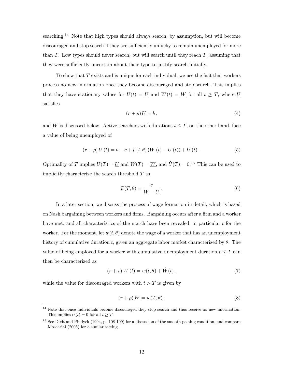searching.<sup>14</sup> Note that high types should always search, by assumption, but will become discouraged and stop search if they are sufficiently unlucky to remain unemployed for more than  $T$ . Low types should never search, but will search until they reach  $T$ , assuming that they were sufficiently uncertain about their type to justify search initially.

To show that  $T$  exists and is unique for each individual, we use the fact that workers process no new information once they become discouraged and stop search. This implies that they have stationary values for  $U(t) = U$  and  $W(t) = W$  for all  $t \geq T$ , where U satisfies

$$
(r+\rho)\underline{U}=b\,,\tag{4}
$$

and W is discussed below. Active searchers with durations  $t \leq T$ , on the other hand, face a value of being unemployed of

$$
(r + \rho) U(t) = b - c + \widetilde{p}(t, \theta) (W(t) - U(t)) + U(t) .
$$
 (5)

Optimality of T implies  $U(T) = U$  and  $W(T) = W$ , and  $\dot{U}(T) = 0.15$  This can be used to implicitly characterize the search threshold  $T$  as

$$
\widetilde{p}(T,\theta) = \frac{c}{\underline{W} - \underline{U}}.
$$
\n(6)

In a later section, we discuss the process of wage formation in detail, which is based on Nash bargaining between workers and firms. Bargaining occurs after a firm and a worker have met, and all characteristics of the match have been revealed, in particular  $t$  for the worker. For the moment, let  $w(t, \theta)$  denote the wage of a worker that has an unemployment history of cumulative duration t, given an aggregate labor market characterized by  $\theta$ . The value of being employed for a worker with cumulative unemployment duration  $t \leq T$  can then be characterized as

$$
(r+\rho)W(t) = w(t,\theta) + \dot{W}(t) , \qquad (7)
$$

while the value for discouraged workers with  $t > T$  is given by

$$
(r+\rho)\underline{W} = w(T,\theta). \tag{8}
$$

Note that once individuals become discouraged they stop search and thus receive no new information. This implies  $\dot{U}(t) = 0$  for all  $t > T$ .

<sup>&</sup>lt;sup>15</sup> See Dixit and Pindyck (1994, p. 108-109) for a discussion of the smooth pasting condition, and compare Moscarini (2005) for a similar setting.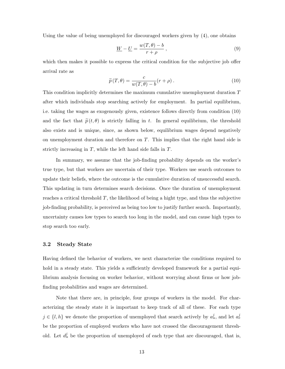Using the value of being unemployed for discouraged workers given by (4), one obtains

$$
\underline{W} - \underline{U} = \frac{w(T, \theta) - b}{r + \rho}, \qquad (9)
$$

which then makes it possible to express the critical condition for the subjective job offer arrival rate as

$$
\widetilde{p}(T,\theta) = \frac{c}{w(T,\theta) - b}(r+\rho).
$$
\n(10)

This condition implicitly determines the maximum cumulative unemployment duration T after which individuals stop searching actively for employment. In partial equilibrium, i.e. taking the wages as exogenously given, existence follows directly from condition (10) and the fact that  $\tilde{p}(t, \theta)$  is strictly falling in t. In general equilibrium, the threshold also exists and is unique, since, as shown below, equilibrium wages depend negatively on unemployment duration and therefore on T. This implies that the right hand side is strictly increasing in  $T$ , while the left hand side falls in  $T$ .

In summary, we assume that the job-finding probability depends on the worker's true type, but that workers are uncertain of their type. Workers use search outcomes to update their beliefs, where the outcome is the cumulative duration of unsuccessful search. This updating in turn determines search decisions. Once the duration of unemployment reaches a critical threshold T, the likelihood of being a hight type, and thus the subjective job-finding probability, is perceived as being too low to justify further search. Importantly, uncertainty causes low types to search too long in the model, and can cause high types to stop search too early.

#### 3.2 Steady State

Having defined the behavior of workers, we next characterize the conditions required to hold in a steady state. This yields a sufficiently developed framework for a partial equilibrium analysis focusing on worker behavior, without worrying about firms or how jobfinding probabilities and wages are determined.

Note that there are, in principle, four groups of workers in the model. For characterizing the steady state it is important to keep track of all of these. For each type  $j \in \{l, h\}$  we denote the proportion of unemployed that search actively by  $a_u^j$ , and let  $a_e^j$ be the proportion of employed workers who have not crossed the discouragement threshold. Let  $d_u^j$  be the proportion of unemployed of each type that are discouraged, that is,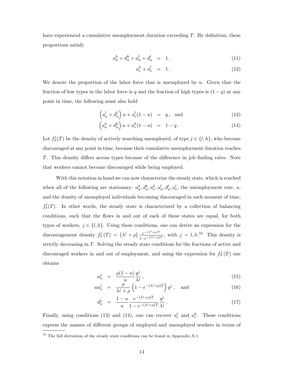have experienced a cumulative unemployment duration exceeding T. By definition, these proportions satisfy

$$
a_u^h + d_u^h + a_u^l + d_u^l = 1.
$$
 (11)

$$
a_e^h + a_e^l = 1. \tag{12}
$$

We denote the proportion of the labor force that is unemployed by  $u$ . Given that the fraction of low types in the labor force is q and the fraction of high types is  $(1 - q)$  at any point in time, the following must also hold

$$
\left(a_u^l + d_u^l\right)u + a_e^l(1-u) = q, \text{ and } (13)
$$

$$
\left(a_u^h + d_u^h\right)u + a_e^h(1-u) = 1 - q.
$$
\n(14)

Let  $f^j_u(T)$  be the density of actively searching unemployed, of type  $j \in \{l, h\}$ , who become discouraged at any point in time, because their cumulative unemployment duration reaches T. This density differs across types because of the difference in job finding rates. Note that workers cannot become discouraged while being employed.

With this notation in hand we can now characterize the steady state, which is reached when all of the following are stationary:  $a_u^h, d_u^h, a_e^h, a_u^l, d_u^l, a_e^l$ , the unemployment rate, u, and the density of unemployed individuals becoming discouraged in each moment of time,  $f_u^j(T)$ . In other words, the steady state is characterized by a collection of balancing conditions, such that the flows in and out of each of these states are equal, for both types of workers,  $j \in \{l, h\}$ . Using these conditions, one can derive an expression for the discouragement density  $f_u^j(T) = (\lambda^j + \rho) \frac{e^{-(\lambda^j + \rho)T}}{1 - ( \lambda^j + \rho)}$  $\frac{e^{-(\lambda^{j}+\rho)T}}{1-e^{-(\lambda^{j}+\rho)T}}$ , with  $j=l, h^{16}$  This density is strictly decreasing in T. Solving the steady state conditions for the fractions of active and discouraged workers in and out of employment, and using the expression for  $f_u^j(T)$  one obtains

$$
a_u^j = \frac{\rho(1-u)}{u} \frac{q^j}{\lambda^j},\tag{15}
$$

$$
ua_u^j = \frac{\rho}{\lambda^j + \rho} \left( 1 - e^{-(\lambda^j + \rho)T} \right) q^j , \text{ and } (16)
$$

$$
d_u^j = \frac{1 - u}{u} \frac{e^{-(\lambda^j + \rho)T}}{1 - e^{-(\lambda^j + \rho)T}} \frac{q^j}{\lambda^j} \,. \tag{17}
$$

Finally, using conditions (13) and (14), one can recover  $a_e^l$  and  $a_e^h$ . These conditions express the masses of different groups of employed and unemployed workers in terms of

<sup>&</sup>lt;sup>16</sup> The full derivation of the steady state conditions can be found in Appendix A.1.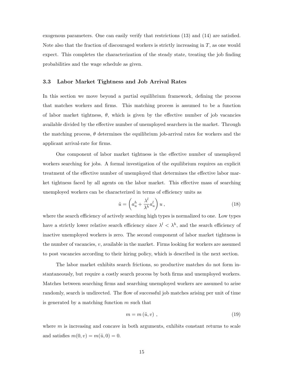exogenous parameters. One can easily verify that restrictions (13) and (14) are satisfied. Note also that the fraction of discouraged workers is strictly increasing in T, as one would expect. This completes the characterization of the steady state, treating the job finding probabilities and the wage schedule as given.

### 3.3 Labor Market Tightness and Job Arrival Rates

In this section we move beyond a partial equilibrium framework, defining the process that matches workers and firms. This matching process is assumed to be a function of labor market tightness,  $\theta$ , which is given by the effective number of job vacancies available divided by the effective number of unemployed searchers in the market. Through the matching process,  $\theta$  determines the equilibrium job-arrival rates for workers and the applicant arrival-rate for firms.

One component of labor market tightness is the effective number of unemployed workers searching for jobs. A formal investigation of the equilibrium requires an explicit treatment of the effective number of unemployed that determines the effective labor market tightness faced by all agents on the labor market. This effective mass of searching unemployed workers can be characterized in terms of efficiency units as

$$
\tilde{u} = \left(a_u^h + \frac{\lambda^l}{\lambda^h} a_u^l\right) u \,,\tag{18}
$$

where the search efficiency of actively searching high types is normalized to one. Low types have a strictly lower relative search efficiency since  $\lambda^{l} < \lambda^{h}$ , and the search efficiency of inactive unemployed workers is zero. The second component of labor market tightness is the number of vacancies,  $v$ , available in the market. Firms looking for workers are assumed to post vacancies according to their hiring policy, which is described in the next section.

The labor market exhibits search frictions, so productive matches do not form instantaneously, but require a costly search process by both firms and unemployed workers. Matches between searching firms and searching unemployed workers are assumed to arise randomly, search is undirected. The flow of successful job matches arising per unit of time is generated by a matching function  $m$  such that

$$
m = m\left(\tilde{u}, v\right) \,,\tag{19}
$$

where  $m$  is increasing and concave in both arguments, exhibits constant returns to scale and satisfies  $m(0, v) = m(\tilde{u}, 0) = 0$ .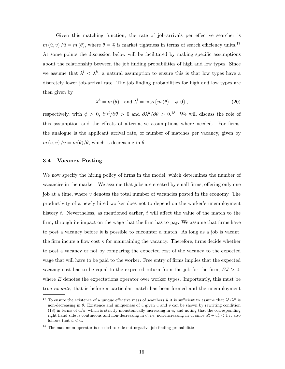Given this matching function, the rate of job-arrivals per effective searcher is  $m(\tilde{u}, v) / \tilde{u} = m(\theta)$ , where  $\theta = \frac{v}{\tilde{u}}$  $\frac{v}{\tilde{u}}$  is market tightness in terms of search efficiency units.<sup>17</sup> At some points the discussion below will be facilitated by making specific assumptions about the relationship between the job finding probabilities of high and low types. Since we assume that  $\lambda^{l} < \lambda^{h}$ , a natural assumption to ensure this is that low types have a discretely lower job-arrival rate. The job finding probabilities for high and low types are then given by

$$
\lambda^{h} = m(\theta), \text{ and } \lambda^{l} = \max\{m(\theta) - \phi, 0\},\tag{20}
$$

respectively, with  $\phi > 0$ ,  $\partial \lambda^l/\partial \theta > 0$  and  $\partial \lambda^h/\partial \theta > 0$ .<sup>18</sup> We will discuss the role of this assumption and the effects of alternative assumptions where needed. For firms, the analogue is the applicant arrival rate, or number of matches per vacancy, given by  $m(\tilde{u}, v)/v = m(\theta)/\theta$ , which is decreasing in  $\theta$ .

#### 3.4 Vacancy Posting

We now specify the hiring policy of firms in the model, which determines the number of vacancies in the market. We assume that jobs are created by small firms, offering only one job at a time, where v denotes the total number of vacancies posted in the economy. The productivity of a newly hired worker does not to depend on the worker's unemployment history t. Nevertheless, as mentioned earlier, t will affect the value of the match to the firm, through its impact on the wage that the firm has to pay. We assume that firms have to post a vacancy before it is possible to encounter a match. As long as a job is vacant, the firm incurs a flow cost  $\kappa$  for maintaining the vacancy. Therefore, firms decide whether to post a vacancy or not by comparing the expected cost of the vacancy to the expected wage that will have to be paid to the worker. Free entry of firms implies that the expected vacancy cost has to be equal to the expected return from the job for the firm,  $EJ > 0$ , where  $E$  denotes the expectations operator over worker types. Importantly, this must be true ex ante, that is before a particular match has been formed and the unemployment

<sup>&</sup>lt;sup>17</sup> To ensure the existence of a unique effective mass of searchers  $\tilde{u}$  it is sufficient to assume that  $\lambda^l/\lambda^h$  is non-decreasing in  $\theta$ . Existence and uniqueness of  $\tilde{u}$  given u and v can be shown by rewriting condition (18) in terms of  $\tilde{u}/u$ , which is strictly monotonically increasing in  $\tilde{u}$ , and noting that the corresponding right hand side is continuous and non-decreasing in  $\theta$ , i.e. non-increasing in  $\tilde{u}$ ; since  $a_u^h + a_u^l < 1$  it also follows that  $\tilde{u} < u$ .

<sup>&</sup>lt;sup>18</sup> The maximum operator is needed to rule out negative job finding probabilities.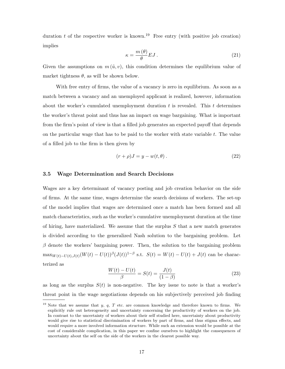duration t of the respective worker is known.<sup>19</sup> Free entry (with positive job creation) implies

$$
\kappa = \frac{m(\theta)}{\theta} EJ \,. \tag{21}
$$

Given the assumptions on  $m(\tilde{u}, v)$ , this condition determines the equilibrium value of market tightness  $\theta$ , as will be shown below.

With free entry of firms, the value of a vacancy is zero in equilibrium. As soon as a match between a vacancy and an unemployed applicant is realized, however, information about the worker's cumulated unemployment duration  $t$  is revealed. This  $t$  determines the worker's threat point and thus has an impact on wage bargaining. What is important from the firm's point of view is that a filled job generates an expected payoff that depends on the particular wage that has to be paid to the worker with state variable  $t$ . The value of a filled job to the firm is then given by

$$
(r+\rho)J = y - w(t,\theta).
$$
\n(22)

#### 3.5 Wage Determination and Search Decisions

Wages are a key determinant of vacancy posting and job creation behavior on the side of firms. At the same time, wages determine the search decisions of workers. The set-up of the model implies that wages are determined once a match has been formed and all match characteristics, such as the worker's cumulative unemployment duration at the time of hiring, have materialized. We assume that the surplus  $S$  that a new match generates is divided according to the generalized Nash solution to the bargaining problem. Let  $\beta$  denote the workers' bargaining power. Then, the solution to the bargaining problem  $\max_{W(t)-U(t),J(t)} (W(t)-U(t))$ <sup>β</sup>( $J(t)$ )<sup>1-β</sup> s.t.  $S(t) = W(t) - U(t) + J(t)$  can be characterized as

$$
\frac{W(t) - U(t)}{\beta} = S(t) = \frac{J(t)}{(1 - \beta)}
$$
\n(23)

as long as the surplus  $S(t)$  is non-negative. The key issue to note is that a worker's threat point in the wage negotiations depends on his subjectively perceived job finding

<sup>&</sup>lt;sup>19</sup> Note that we assume that y, q, T etc. are common knowledge and therefore known to firms. We explicitly rule out heterogeneity and uncertainty concerning the productivity of workers on the job. In contrast to the uncertainty of workers about their self studied here, uncertainty about productivity would give rise to statistical discrimination of workers by part of firms, and thus stigma effects, and would require a more involved information structure. While such an extension would be possible at the cost of considerable complication, in this paper we confine ourselves to highlight the consequences of uncertainty about the self on the side of the workers in the clearest possible way.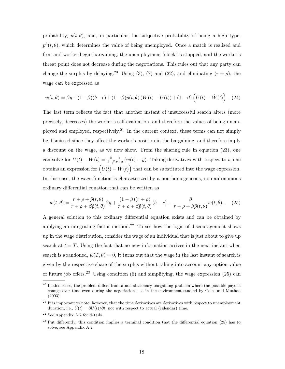probability,  $\tilde{p}(t, \theta)$ , and, in particular, his subjective probability of being a high type,  $p^{h}(t, \theta)$ , which determines the value of being unemployed. Once a match is realized and firm and worker begin bargaining, the unemployment 'clock' is stopped, and the worker's threat point does not decrease during the negotiations. This rules out that any party can change the surplus by delaying.<sup>20</sup> Using (3), (7) and (22), and eliminating  $(r + \rho)$ , the wage can be expressed as

$$
w(t,\theta) = \beta y + (1-\beta)(b-c) + (1-\beta)\tilde{p}(t,\theta) (W(t) - U(t)) + (1-\beta)\left(\dot{U}(t) - \dot{W}(t)\right). (24)
$$

The last term reflects the fact that another instant of unsuccessful search alters (more precisely, decreases) the worker's self-evaluation, and therefore the values of being unemployed and employed, respectively.<sup>21</sup> In the current context, these terms can not simply be dismissed since they affect the worker's position in the bargaining, and therefore imply a discount on the wage, as we now show. From the sharing rule in equation (23), one can solve for  $U(t) - W(t) = \frac{\beta}{1 - \beta}$ 1  $\frac{1}{r+\rho}(w(t)-y)$ . Taking derivatives with respect to t, one obtains an expression for  $(\dot{U}(t) - \dot{W}(t))$  that can be substituted into the wage expression.  $\tilde{\zeta}$ In this case, the wage function is characterized by a non-homogeneous, non-autonomous ordinary differential equation that can be written as

$$
w(t,\theta) = \frac{r+\rho+\tilde{p}(t,\theta)}{r+\rho+\beta\tilde{p}(t,\theta)}\beta y + \frac{(1-\beta)(r+\rho)}{r+\rho+\beta\tilde{p}(t,\theta)}(b-c) + \frac{\beta}{r+\rho+\beta\tilde{p}(t,\theta)}\dot{w}(t,\theta). \tag{25}
$$

A general solution to this ordinary differential equation exists and can be obtained by applying an integrating factor method.<sup>22</sup> To see how the logic of discouragement shows up in the wage distribution, consider the wage of an individual that is just about to give up search at  $t = T$ . Using the fact that no new information arrives in the next instant when search is abandoned,  $\dot{w}(T,\theta) = 0$ , it turns out that the wage in the last instant of search is given by the respective share of the surplus without taking into account any option value of future job offers.<sup>23</sup> Using condition  $(6)$  and simplifying, the wage expression  $(25)$  can

<sup>&</sup>lt;sup>20</sup> In this sense, the problem differs from a non-stationary bargaining problem where the possible payoffs change over time even during the negotiations, as in the environment studied by Coles and Muthoo (2003).

 $21$  It is important to note, however, that the time derivatives are derivatives with respect to unemployment duration, i.e.,  $\dot{U}(t) = \partial U(t)/\partial t$ , not with respect to actual (calendar) time.

 $22$  See Appendix A.2 for details.

<sup>&</sup>lt;sup>23</sup> Put differently, this condition implies a terminal condition that the differential equation (25) has to solve, see Appendix A.2.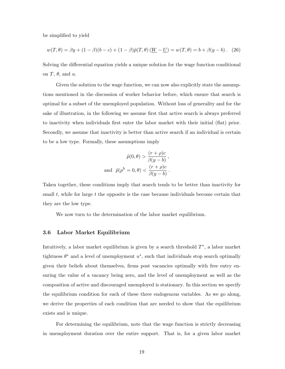be simplified to yield

$$
w(T, \theta) = \beta y + (1 - \beta)(b - c) + (1 - \beta)\tilde{p}(T, \theta)\left(\underline{W} - \underline{U}\right) = w(T, \theta) = b + \beta(y - b). \tag{26}
$$

Solving the differential equation yields a unique solution for the wage function conditional on  $T$ ,  $\theta$ , and  $u$ .

Given the solution to the wage function, we can now also explicitly state the assumptions mentioned in the discussion of worker behavior before, which ensure that search is optimal for a subset of the unemployed population. Without loss of generality and for the sake of illustration, in the following we assume first that active search is always preferred to inactivity when individuals first enter the labor market with their initial (flat) prior. Secondly, we assume that inactivity is better than active search if an individual is certain to be a low type. Formally, these assumptions imply

$$
\tilde{p}(0,\theta) > \frac{(r+\rho)c}{\beta(y-b)},
$$
  
and 
$$
\tilde{p}(p^h = 0,\theta) < \frac{(r+\rho)c}{\beta(y-b)}.
$$

Taken together, these conditions imply that search tends to be better than inactivity for small  $t$ , while for large  $t$  the opposite is the case because individuals become certain that they are the low type.

We now turn to the determination of the labor market equilibrium.

#### 3.6 Labor Market Equilibrium

Intuitively, a labor market equilibrium is given by a search threshold  $T^*$ , a labor market tightness  $\theta^*$  and a level of unemployment  $u^*$ , such that individuals stop search optimally given their beliefs about themselves, firms post vacancies optimally with free entry ensuring the value of a vacancy being zero, and the level of unemployment as well as the composition of active and discouraged unemployed is stationary. In this section we specify the equilibrium condition for each of these three endogenous variables. As we go along, we derive the properties of each condition that are needed to show that the equilibrium exists and is unique.

For determining the equilibrium, note that the wage function is strictly decreasing in unemployment duration over the entire support. That is, for a given labor market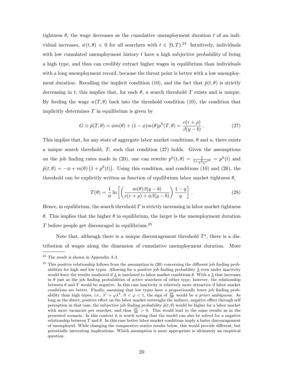tightness  $\theta$ , the wage decreases as the cumulative unemployment duration t of an individual increases,  $\dot{w}(t, \theta) < 0$  for all searchers with  $t \in [0, T)$ .<sup>24</sup> Intuitively, individuals with low cumulated unemployment history  $t$  have a high subjective probability of being a high type, and thus can credibly extract higher wages in equilibrium than individuals with a long unemployment record, because the threat point is better with a low unemployment duration. Recalling the implicit condition (10), and the fact that  $\tilde{p}(t, \theta)$  is strictly decreasing in t, this implies that, for each  $\theta$ , a search threshold T exists and is unique. By feeding the wage  $w(T, \theta)$  back into the threshold condition (10), the condition that implicitly determines  $T$  in equilibrium is given by

$$
G \equiv \tilde{p}(T,\theta) = \phi m(\theta) + (1-\phi)m(\theta)p^{h}(T,\theta) = \frac{c(r+\rho)}{\beta(y-b)}.
$$
\n(27)

This implies that, for any state of aggregate labor market conditions,  $\theta$  and  $u$ , there exists a unique search threshold,  $T$ , such that condition (27) holds. Given the assumptions on the job finding rates made in (20), one can rewrite  $p^{h}(t, \theta) = \frac{1}{1 + \frac{q}{1-q}e^{\phi t}} = p^{h}(t)$  and  $\tilde{p}(t, \theta) = -\phi + m(\theta)$ ¡  $1+p^h(t)$ ¢ . Using this condition, and conditions (10) and (26), the threshold can be explicitly written as function of equilibrium labor market tightness  $\theta$ ,

$$
T(\theta) = \frac{1}{\phi} \ln \left[ \left( \frac{m(\theta)\beta(y-b)}{c(r+\rho) + \phi\beta(y-b)} \right) \frac{1-q}{q} \right].
$$
 (28)

Hence, in equilibrium, the search threshold  $T$  is strictly increasing in labor market tightness θ. This implies that the higher θ in equilibrium, the larger is the unemployment duration T before people get discouraged in equilibrium.<sup>25</sup>

Note that, although there is a unique discouragement threshold  $T^*$ , there is a distribution of wages along the dimension of cumulative unemployment duration. More

 $24$  The result is shown in Appendix A.3.

 $25$  This positive relationship follows from the assumption in  $(20)$  concerning the different job finding probabilities for high and low types. Allowing for a positive job finding probability  $\lambda$  even under inactivity would leave the results unaltered if  $\lambda$  is unrelated to labor market conditions  $\theta$ . With a  $\lambda$  that increases in  $\theta$  just as the job finding probabilities of active searchers of either type, however, the relationship between  $\theta$  and T would be negative. In this case inactivity is relatively more attractive if labor market conditions are better. Finally, assuming that low types have a proportionally lower job finding probability than high types, i.e.,  $\lambda^l = \varphi \lambda^h$ ,  $0 < \varphi < 1$ , the sign of  $\frac{\partial T}{\partial \theta}$  would be a priori ambiguous. As long as the direct, positive effect on the labor market outweighs the indirect, negative effect through self perception in that case, the subjective job finding probability  $\tilde{p}(t, \theta)$  would be higher for a labor market with more vacancies per searcher, and thus  $\frac{\partial T}{\partial \theta} > 0$ . This would lead to the same results as in the presented scenario. In this context it is worth noting that the model can also be solved for a negative relationship between T and  $\theta$ . In this case better labor market conditions imply a faster discouragement of unemployed. While changing the comparative statics results below, this would provide different, but potentially interesting implications. Which assumption is more appropriate is ultimately an empirical question.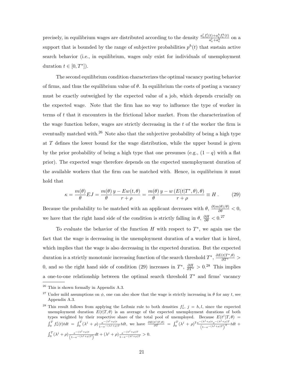precisely, in equilibrium wages are distributed according to the density  $\frac{a_e^l f_e^l(t) + a_e^h f_e^h(t)}{a_e^l + a_e^h}$  $\frac{t)+a^{\circ}_e}{a^l_e+a^h_e}$  on a support that is bounded by the range of subjective probabilities  $p<sup>h</sup>(t)$  that sustain active search behavior (i.e., in equilibrium, wages only exist for individuals of unemployment duration  $t \in [0, T^*]$ .

The second equilibrium condition characterizes the optimal vacancy posting behavior of firms, and thus the equilibrium value of  $\theta$ . In equilibrium the costs of posting a vacancy must be exactly outweighed by the expected value of a job, which depends crucially on the expected wage. Note that the firm has no way to influence the type of worker in terms of t that it encounters in the frictional labor market. From the characterization of the wage function before, wages are strictly decreasing in the  $t$  of the worker the firm is eventually matched with.<sup>26</sup> Note also that the subjective probability of being a high type at  $T$  defines the lower bound for the wage distribution, while the upper bound is given by the prior probability of being a high type that one presumes (e.g.,  $(1 - q)$  with a flat prior). The expected wage therefore depends on the expected unemployment duration of the available workers that the firm can be matched with. Hence, in equilibrium it must hold that

$$
\kappa = \frac{m(\theta)}{\theta} EJ = \frac{m(\theta)}{\theta} \frac{y - Ew(t, \theta)}{r + \rho} = \frac{m(\theta)}{\theta} \frac{y - w(E(t|T^*, \theta), \theta)}{r + \rho} \equiv H. \tag{29}
$$

Because the probability to be matched with an applicant decreases with  $\theta$ ,  $\frac{\partial (m(\theta)/\theta)}{\partial \theta} < 0$ , we have that the right hand side of the condition is strictly falling in  $\theta$ ,  $\frac{\partial H}{\partial \theta} < 0$ .<sup>27</sup>

To evaluate the behavior of the function  $H$  with respect to  $T^*$ , we again use the fact that the wage is decreasing in the unemployment duration of a worker that is hired, which implies that the wage is also decreasing in the expected duration. But the expected duration is a strictly monotonic increasing function of the search threshold  $T^*$ ,  $\frac{\partial E(t|T^*,\theta)}{\partial T^*}$ 0, and so the right hand side of condition (29) increases in  $T^*$ ,  $\frac{\partial H}{\partial T^*} > 0.28$  This implies a one-to-one relationship between the optimal search threshold  $T^*$  and firms' vacancy

<sup>26</sup> This is shown formally in Appendix A.3.

<sup>&</sup>lt;sup>27</sup> Under mild assumptions on  $\phi$ , one can also show that the wage is strictly increasing in  $\theta$  for any t, see Appendix A.3.

<sup>&</sup>lt;sup>28</sup> This result follows from applying the Leibniz rule to both densities  $f_u^j$ ,  $j = h, l$ , since the expected unemployment duration  $E(t|T, \theta)$  is an average of the expected unemployment durations of both types weighted by their respective share of the total pool of unemployed. Because  $E(t^j|T,\theta)$  =  $\int_0^T f^j_u(t) t dt = \int_0^T (\lambda^j + \rho) \frac{e^{-(\lambda^j + \rho)t}}{1 - e^{-(\lambda^j + \rho)}}$  $\frac{e^{-(\lambda^{j}+\rho)t}}{1-e^{-(\lambda^{j}+\rho)T}}t dt$ , we have  $\frac{\partial E(t^{j}|T,\theta)}{\partial T} = \int_{0}^{T} (\lambda^{j}+\rho)^{2} \frac{e^{-(\lambda^{j}+\rho)t}e^{-(\lambda^{j}+\rho)T}}{(1-e^{-(\lambda^{j}+\rho)T})^{2}}t dt$  +  $\int_0^T (\lambda^j + \rho) \frac{e^{-(\lambda^j + \rho)t}}{(1 - e^{-(\lambda^j + \rho)T})} dt + (\lambda^j + \rho) \frac{e^{-(\lambda^j + \rho)T}}{1 - e^{-(\lambda^j + \rho)T}} > 0.$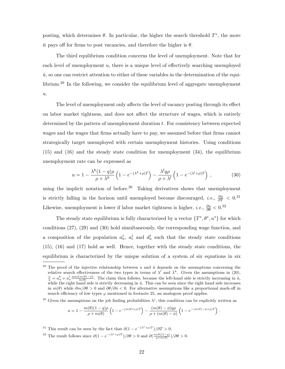posting, which determines  $\theta$ . In particular, the higher the search threshold  $T^*$ , the more it pays off for firms to post vacancies, and therefore the higher is  $\theta$ .

The third equilibrium condition concerns the level of unemployment. Note that for each level of unemployment  $u$ , there is a unique level of effectively searching unemployed  $\tilde{u}$ , so one can restrict attention to either of these variables in the determination of the equilibrium.<sup>29</sup> In the following, we consider the equilibrium level of aggregate unemployment  $u$ .

The level of unemployment only affects the level of vacancy posting through its effect on labor market tightness, and does not affect the structure of wages, which is entirely determined by the pattern of unemployment duration t. For consistency between expected wages and the wages that firms actually have to pay, we assumed before that firms cannot strategically target unemployed with certain unemployment histories. Using conditions (15) and (16) and the steady state condition for unemployment (34), the equilibrium unemployment rate can be expressed as

$$
u = 1 - \frac{\lambda^h (1 - q)\rho}{\rho + \lambda^h} \left( 1 - e^{-(\lambda^h + \rho)T} \right) - \frac{\lambda^l q\rho}{\rho + \lambda^l} \left( 1 - e^{-(\lambda^l + \rho)T} \right) , \qquad (30)
$$

using the implicit notation of before.<sup>30</sup> Taking derivatives shows that unemployment is strictly falling in the horizon until unemployed become discouraged, *i.e.*,  $\frac{\partial u}{\partial T}$  < 0.<sup>31</sup> Likewise, unemployment is lower if labor market tightness is higher, *i.e.*,  $\frac{\partial u}{\partial \theta} < 0.32$ 

The steady state equilibrium is fully characterized by a vector  $\{T^*,\theta^*,u^*\}$  for which conditions (27), (29) and (30) hold simultaneously, the corresponding wage function, and a composition of the population  $a_u^j$ ,  $a_e^j$  and  $d_u^j$  such that the steady state conditions (15), (16) and (17) hold as well. Hence, together with the steady state conditions, the equilibrium is characterized by the unique solution of a system of six equations in six

$$
u = 1 - \frac{m(\theta)(1-q)\rho}{\rho + m(\theta)} \left(1 - e^{-(m(\theta) + \rho)T}\right) - \frac{(m(\theta) - \phi)q\rho}{\rho + (m(\theta) - \phi)} \left(1 - e^{-(m(\theta) - \phi + \rho)T}\right).
$$

<sup>31</sup> This result can be seen by the fact that  $\partial (1 - e^{-(\lambda^j + \rho)T})/\partial T > 0$ .

<sup>&</sup>lt;sup>29</sup> The proof of the injective relationship between u and  $\tilde{u}$  depends on the assumptions concerning the relative search effectiveness of the two types in terms of  $\lambda^l$  and  $\lambda^h$ . Given the assumptions in (20),  $\frac{\tilde{u}}{u} = a_u^h + a_u^l \frac{\max\{m(\theta) - \phi\}}{m(\theta)}$ . The claim then follows, because the left-hand side is strictly increasing in  $\tilde{u}$ , while the right hand side is strictly decreasing in  $\tilde{u}$ . This can be seen since the right hand side increases in  $m(\theta)$  while  $\partial m/\partial \theta > 0$  and  $\partial \theta/\partial \tilde{u} < 0$ . For alternative assumptions like a proportional mark-off in search efficiency of low types  $\varphi$  mentioned in footnote 25, an analogous proof applies.

<sup>&</sup>lt;sup>30</sup> Given the assumptions on the job finding probabilities  $\lambda^j$ , this condition can be explicitly written as

<sup>&</sup>lt;sup>32</sup> The result follows since  $\partial (1 - e^{-(\lambda^j + \rho)T})/\partial \theta > 0$  and  $\partial (\frac{m(\theta)(1-q)}{\rho + m(\theta)})/\partial \theta > 0$ .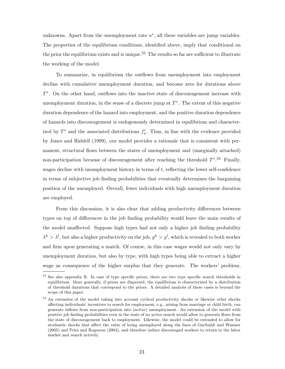unknowns. Apart from the unemployment rate  $u^*$ , all these variables are jump variables. The properties of the equilibrium conditions, identified above, imply that conditional on the prior the equilibrium exists and is unique.<sup>33</sup> The results so far are sufficient to illustrate the working of the model.

To summarize, in equilibrium the outflows from unemployment into employment decline with cumulative unemployment duration, and become zero for durations above T ∗ . On the other hand, outflows into the inactive state of discouragement increase with unemployment duration, in the sense of a discrete jump at  $T^*$ . The extent of this negative duration dependence of the hazard into employment, and the positive duration dependence of hazards into discouragement is endogenously determined in equilibrium and characterized by  $T^*$  and the associated distributions  $f_u^i$ . Thus, in line with the evidence provided by Jones and Riddell (1999), our model provides a rationale that is consistent with permanent, structural flows between the states of unemployment and (marginally attached) non-participation because of discouragement after reaching the threshold  $T^*$ .<sup>34</sup> Finally, wages decline with unemployment history in terms of  $t$ , reflecting the lower self-confidence in terms of subjective job finding probabilities that eventually determines the bargaining position of the unemployed. Overall, fewer individuals with high unemployment duration are employed.

From this discussion, it is also clear that adding productivity differences between types on top of differences in the job finding probability would leave the main results of the model unaffected. Suppose high types had not only a higher job finding probability  $\lambda^h > \lambda^l$ , but also a higher productivity on the job,  $y^h > y^l$ , which is revealed to both worker and firm upon generating a match. Of course, in this case wages would not only vary by unemployment duration, but also by type, with high types being able to extract a higher wage as consequence of the higher surplus that they generate. The workers' problem,

<sup>&</sup>lt;sup>33</sup> See also appendix B. In case of type specific priors, there are two type specific search thresholds in equilibrium. More generally, if priors are dispersed, the equilibrium is characterized by a distribution of threshold durations that correspond to the priors. A detailed analysis of these cases is beyond the scope of this paper.

<sup>&</sup>lt;sup>34</sup> An extension of the model taking into account cyclical productivity shocks or likewise other shocks affecting individuals' incentives to search for employment, e.g., arising from marriage or child birth, can generate inflows from non-participation into (active) unemployment. An extension of the model with positive job finding probabilities even in the state of no active search would allow to generate flows from the state of discouragement back to employment. Likewise, the model could be extended to allow for stochastic shocks that affect the value of being unemployed along the lines of Garibaldi and Wasmer (2005) and Pries and Rogerson (2004), and therefore induce discouraged workers to return to the labor market and search actively.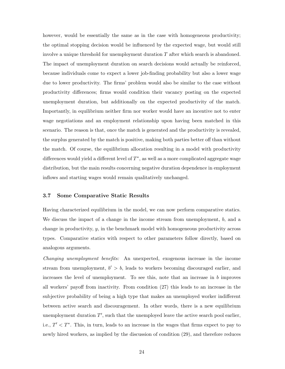however, would be essentially the same as in the case with homogeneous productivity; the optimal stopping decision would be influenced by the expected wage, but would still involve a unique threshold for unemployment duration  $T$  after which search is abandoned. The impact of unemployment duration on search decisions would actually be reinforced, because individuals come to expect a lower job-finding probability but also a lower wage due to lower productivity. The firms' problem would also be similar to the case without productivity differences; firms would condition their vacancy posting on the expected unemployment duration, but additionally on the expected productivity of the match. Importantly, in equilibrium neither firm nor worker would have an incentive not to enter wage negotiations and an employment relationship upon having been matched in this scenario. The reason is that, once the match is generated and the productivity is revealed, the surplus generated by the match is positive, making both parties better off than without the match. Of course, the equilibrium allocation resulting in a model with productivity differences would yield a different level of  $T^*$ , as well as a more complicated aggregate wage distribution, but the main results concerning negative duration dependence in employment inflows and starting wages would remain qualitatively unchanged.

#### 3.7 Some Comparative Static Results

Having characterized equilibrium in the model, we can now perform comparative statics. We discuss the impact of a change in the income stream from unemployment,  $b$ , and a change in productivity,  $y$ , in the benchmark model with homogeneous productivity across types. Comparative statics with respect to other parameters follow directly, based on analogous arguments.

Changing unemployment benefits: An unexpected, exogenous increase in the income stream from unemployment,  $b' > b$ , leads to workers becoming discouraged earlier, and increases the level of unemployment. To see this, note that an increase in  $b$  improves all workers' payoff from inactivity. From condition (27) this leads to an increase in the subjective probability of being a high type that makes an unemployed worker indifferent between active search and discouragement. In other words, there is a new equilibrium unemployment duration  $T'$ , such that the unemployed leave the active search pool earlier, i.e.,  $T' < T^*$ . This, in turn, leads to an increase in the wages that firms expect to pay to newly hired workers, as implied by the discussion of condition (29), and therefore reduces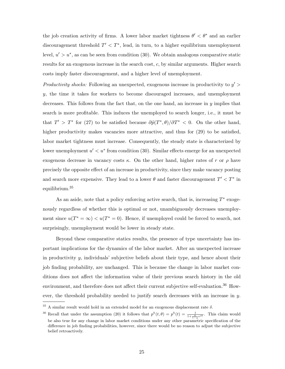the job creation activity of firms. A lower labor market tightness  $\theta' < \theta^*$  and an earlier discouragement threshold  $T' < T^*$ , lead, in turn, to a higher equilibrium unemployment level,  $u' > u^*$ , as can be seen from condition (30). We obtain analogous comparative static results for an exogenous increase in the search cost, c, by similar arguments. Higher search costs imply faster discouragement, and a higher level of unemployment.

Productivity shocks: Following an unexpected, exogenous increase in productivity to  $y'$ y, the time it takes for workers to become discouraged increases, and unemployment decreases. This follows from the fact that, on the one hand, an increase in  $y$  implies that search is more profitable. This induces the unemployed to search longer, i.e., it must be that  $T' > T^*$  for (27) to be satisfied because  $\partial \tilde{p}(T^*, \theta)/\partial T^* < 0$ . On the other hand, higher productivity makes vacancies more attractive, and thus for  $(29)$  to be satisfied, labor market tightness must increase. Consequently, the steady state is characterized by lower unemployment  $u' < u^*$  from condition (30). Similar effects emerge for an unexpected exogenous decrease in vacancy costs  $\kappa$ . On the other hand, higher rates of r or  $\rho$  have precisely the opposite effect of an increase in productivity, since they make vacancy posting and search more expensive. They lead to a lower  $\theta$  and faster discouragement  $T' < T^*$  in equilibrium.<sup>35</sup>

As an aside, note that a policy enforcing active search, that is, increasing  $T^*$  exogenously regardless of whether this is optimal or not, unambiguously decreases unemployment since  $u(T^* = \infty) < u(T^* = 0)$ . Hence, if unemployed could be forced to search, not surprisingly, unemployment would be lower in steady state.

Beyond these comparative statics results, the presence of type uncertainty has important implications for the dynamics of the labor market. After an unexpected increase in productivity  $y$ , individuals' subjective beliefs about their type, and hence about their job finding probability, are unchanged. This is because the change in labor market conditions does not affect the information value of their previous search history in the old environment, and therefore does not affect their current subjective self-evaluation.<sup>36</sup> However, the threshold probability needed to justify search decreases with an increase in  $y$ .

 $35$  A similar result would hold in an extended model for an exogenous displacement rate  $\delta$ .

<sup>&</sup>lt;sup>36</sup> Recall that under the assumption (20) it follows that  $p^{h}(t, \theta) = p^{h}(t) = \frac{1}{1 + \frac{q}{1 - q} e^{\phi t}}$ . This claim would be also true for any change in labor market conditions under any other parametric specification of the difference in job finding probabilities, however, since there would be no reason to adjust the subjective belief retroactively.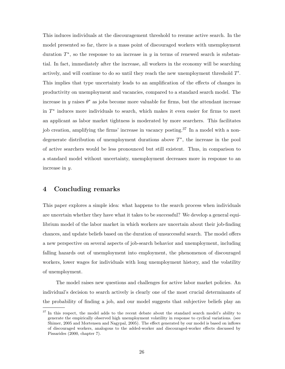This induces individuals at the discouragement threshold to resume active search. In the model presented so far, there is a mass point of discouraged workers with unemployment duration  $T^*$ , so the response to an increase in y in terms of renewed search is substantial. In fact, immediately after the increase, all workers in the economy will be searching actively, and will continue to do so until they reach the new unemployment threshold  $T'$ . This implies that type uncertainty leads to an amplification of the effects of changes in productivity on unemployment and vacancies, compared to a standard search model. The increase in y raises  $\theta^*$  as jobs become more valuable for firms, but the attendant increase in  $T^*$  induces more individuals to search, which makes it even easier for firms to meet an applicant as labor market tightness is moderated by more searchers. This facilitates job creation, amplifying the firms' increase in vacancy posting.<sup>37</sup> In a model with a nondegenerate distribution of unemployment durations above  $T^*$ , the increase in the pool of active searchers would be less pronounced but still existent. Thus, in comparison to a standard model without uncertainty, unemployment decreases more in response to an increase in y.

## 4 Concluding remarks

This paper explores a simple idea: what happens to the search process when individuals are uncertain whether they have what it takes to be successful? We develop a general equilibrium model of the labor market in which workers are uncertain about their job-finding chances, and update beliefs based on the duration of unsuccessful search. The model offers a new perspective on several aspects of job-search behavior and unemployment, including falling hazards out of unemployment into employment, the phenomenon of discouraged workers, lower wages for individuals with long unemployment history, and the volatility of unemployment.

The model raises new questions and challenges for active labor market policies. An individual's decision to search actively is clearly one of the most crucial determinants of the probability of finding a job, and our model suggests that subjective beliefs play an

<sup>&</sup>lt;sup>37</sup> In this respect, the model adds to the recent debate about the standard search model's ability to generate the empirically observed high unemployment volatility in response to cyclical variations. (see Shimer, 2005 and Mortensen and Nagypal, 2005). The effect generated by our model is based on inflows of discouraged workers, analogous to the added-worker and discouraged-worker effects discussed by Pissarides (2000, chapter 7).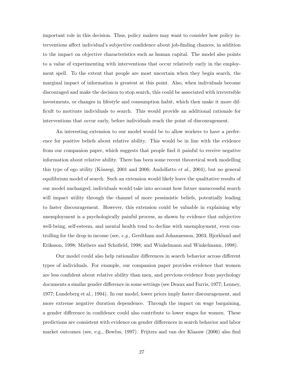important role in this decision. Thus, policy makers may want to consider how policy interventions affect individual's subjective confidence about job-finding chances, in addition to the impact on objective characteristics such as human capital. The model also points to a value of experimenting with interventions that occur relatively early in the employment spell. To the extent that people are most uncertain when they begin search, the marginal impact of information is greatest at this point. Also, when individuals become discouraged and make the decision to stop search, this could be associated with irreversible investments, or changes in lifestyle and consumption habit, which then make it more difficult to motivate individuals to search. This would provide an additional rationale for interventions that occur early, before individuals reach the point of discouragement.

An interesting extension to our model would be to allow workers to have a preference for positive beliefs about relative ability. This would be in line with the evidence from our companion paper, which suggests that people find it painful to receive negative information about relative ability. There has been some recent theoretical work modelling this type of ego utility (Köszegi, 2001 and 2006; Andolfatto *et al.*, 2004), but no general equilibrium model of search. Such an extension would likely leave the qualitative results of our model unchanged; individuals would take into account how future unsuccessful search will impact utility through the channel of more pessimistic beliefs, potentially leading to faster discouragement. However, this extension could be valuable in explaining why unemployment is a psychologically painful process, as shown by evidence that subjective well-being, self-esteem, and mental health tend to decline with unemployment, even controlling for the drop in income (see, e.g., Gerdtham and Johannesson, 2003; Bjorklund and Eriksson, 1998; Mathers and Schofield, 1998; and Winkelmann and Winkelmann, 1998).

Our model could also help rationalize differences in search behavior across different types of individuals. For example, our companion paper provides evidence that women are less confident about relative ability than men, and previous evidence from psychology documents a similar gender difference in some settings (see Deaux and Farris, 1977; Lenney, 1977; Lundeberg et al., 1994). In our model, lower priors imply faster discouragement, and more extreme negative duration dependence. Through the impact on wage bargaining, a gender difference in confidence could also contribute to lower wages for women. These predictions are consistent with evidence on gender differences in search behavior and labor market outcomes (see, e.g., Bowlus, 1997). Frijters and van der Klaauw (2006) also find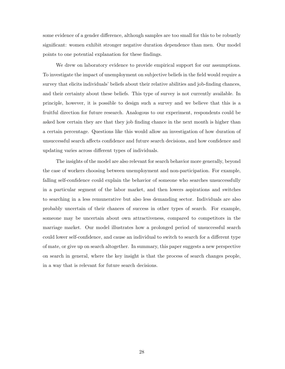some evidence of a gender difference, although samples are too small for this to be robustly significant: women exhibit stronger negative duration dependence than men. Our model points to one potential explanation for these findings.

We drew on laboratory evidence to provide empirical support for our assumptions. To investigate the impact of unemployment on subjective beliefs in the field would require a survey that elicits individuals' beliefs about their relative abilities and job-finding chances, and their certainty about these beliefs. This type of survey is not currently available. In principle, however, it is possible to design such a survey and we believe that this is a fruitful direction for future research. Analogous to our experiment, respondents could be asked how certain they are that they job finding chance in the next month is higher than a certain percentage. Questions like this would allow an investigation of how duration of unsuccessful search affects confidence and future search decisions, and how confidence and updating varies across different types of individuals.

The insights of the model are also relevant for search behavior more generally, beyond the case of workers choosing between unemployment and non-participation. For example, falling self-confidence could explain the behavior of someone who searches unsuccessfully in a particular segment of the labor market, and then lowers aspirations and switches to searching in a less remunerative but also less demanding sector. Individuals are also probably uncertain of their chances of success in other types of search. For example, someone may be uncertain about own attractiveness, compared to competitors in the marriage market. Our model illustrates how a prolonged period of unsuccessful search could lower self-confidence, and cause an individual to switch to search for a different type of mate, or give up on search altogether. In summary, this paper suggests a new perspective on search in general, where the key insight is that the process of search changes people, in a way that is relevant for future search decisions.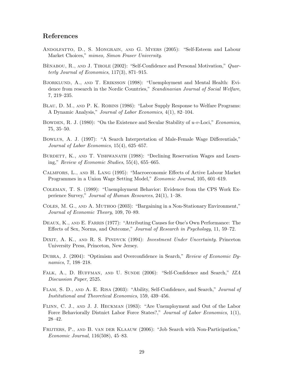## References

- Andolfatto, D., S. Mongrain, and G. Myers (2005): "Self-Esteem and Labour Market Choices," mimeo, Simon Fraser University.
- BENABOU, R., AND J. TIROLE  $(2002)$ : "Self-Confidence and Personal Motivation," *Quar*terly Journal of Economics, 117(3), 871–915.
- Bjorklund, A., and T. Eriksson (1998): "Unemployment and Mental Health: Evidence from research in the Nordic Countries," Scandinavian Journal of Social Welfare, 7, 219–235.
- BLAU, D. M., AND P. K. ROBINS (1986): "Labor Supply Response to Welfare Programs: A Dynamic Analysis," Journal of Labor Economics, 4(1), 82–104.
- BOWDEN, R. J. (1980): "On the Existence and Secular Stability of  $u-v$ -Loci," *Economica*, 75, 35–50.
- Bowlus, A. J. (1997): "A Search Interpretation of Male-Female Wage Differentials," Journal of Labor Economics, 15(4), 625–657.
- BURDETT, K., AND T. VISHWANATH (1988): "Declining Reservation Wages and Learning," Review of Economic Studies, 55(4), 655–665.
- Calmfors, L., and H. Lang (1995): "Macroeconomic Effects of Active Labour Market Programmes in a Union Wage Setting Model," Economic Journal, 105, 601–619.
- Coleman, T. S. (1989): "Unemployment Behavior: Evidence from the CPS Work Experience Survey," Journal of Human Resources, 24(1), 1–38.
- Coles, M. G., and A. Muthoo (2003): "Bargaining in a Non-Stationary Environment," Journal of Economic Theory, 109, 70–89.
- DEAUX, K., AND E. FARRIS (1977): "Attributing Causes for One's Own Performance: The Effects of Sex, Norms, and Outcome," Journal of Research in Psychology, 11, 59–72.
- DIXIT, A. K., AND R. S. PINDYCK (1994): *Investment Under Uncertainty*. Princeton University Press, Princeton, New Jersey.
- Dubra, J. (2004): "Optimism and Overconfidence in Search," Review of Economic Dynamics, 7, 198–218.
- FALK, A., D. HUFFMAN, AND U. SUNDE (2006): "Self-Confidence and Search," IZA Discussion Paper, 2525.
- Flam, S. D., and A. E. Risa (2003): "Ability, Self-Confidence, and Search," Journal of Institutional and Theoretical Economics, 159, 439–456.
- Flinn, C. J., and J. J. Heckman (1983): "Are Unemployment and Out of the Labor Force Behaviorally Distnict Labor Force States?," Journal of Labor Economics, 1(1), 28–42.
- FRIJTERS, P., AND B. VAN DER KLAAUW (2006): "Job Search with Non-Participation," Economic Journal, 116(508), 45–83.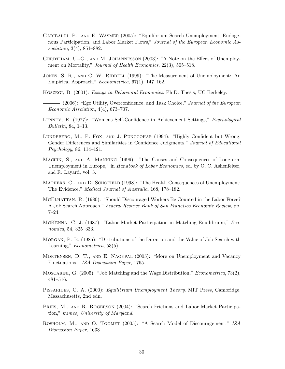- Garibaldi, P., and E. Wasmer (2005): "Equilibrium Search Unemployment, Endogenous Participation, and Labor Market Flows," Journal of the European Economic Association, 3(4), 851–882.
- GERDTHAM, U.-G., AND M. JOHANNESSON (2003): "A Note on the Effect of Unemployment on Mortality," *Journal of Health Economics*, 22(3), 505–518.
- JONES, S. R., AND C. W. RIDDELL (1999): "The Measurement of Unemployment: An Empirical Approach," Econometrica, 67(1), 147–162.
- KÖSZEGI, B. (2001): Essays in Behavioral Economics. Ph.D. Thesis, UC Berkeley.
- (2006): "Ego Utility, Overconfidence, and Task Choice," Journal of the European Economic Assciation, 4(4), 673–707.
- Lenney, E. (1977): "Womens Self-Confidence in Achievement Settings," Psychological Bulletin, 84, 1–13.
- LUNDEBERG, M., P. FOX, AND J. PUNCCOHAR (1994): "Highly Confident but Wrong: Gender Differences and Similarities in Confidence Judgments," Journal of Educational Psychology, 86, 114–121.
- Machin, S., and A. Manning (1999): "The Causes and Consequences of Longterm Unemployment in Europe," in *Handbook of Labor Economics*, ed. by O. C. Ashenfelter, and R. Layard, vol. 3.
- MATHERS, C., AND D. SCHOFIELD (1998): "The Health Consequences of Unemployment: The Evidence," Medical Journal of Australia, 168, 178–182.
- MCELHATTAN, R. (1980): "Should Discouraged Workers Be Counted in the Labor Force? A Job Search Approach," Federal Reserve Bank of San Francisco Economic Review, pp. 7–24.
- McKenna, C. J. (1987): "Labor Market Participation in Matching Equilibrium," Economica, 54, 325–333.
- Morgan, P. B. (1985): "Distributions of the Duration and the Value of Job Search with Learning," *Econometrica*, 53(5).
- Mortensen, D. T., and E. Nagypal (2005): "More on Unemployment and Vacancy Fluctuations," IZA Discussion Paper, 1765.
- MOSCARINI, G. (2005): "Job Matching and the Wage Distribution," *Econometrica*, 73(2), 481–516.
- Pissarides, C. A. (2000): Equilibrium Unemployment Theory. MIT Press, Cambridge, Massachusetts, 2nd edn.
- PRIES, M., AND R. ROGERSON (2004): "Search Frictions and Labor Market Participation," mimeo, University of Maryland.
- ROSHOLM, M., AND O. TOOMET (2005): "A Search Model of Discouragement," IZA Discussion Paper, 1633.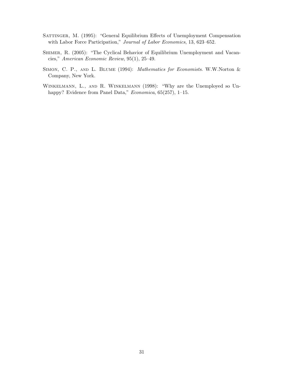- SATTINGER, M. (1995): "General Equilibrium Effects of Unemployment Compensation with Labor Force Participation," Journal of Labor Economics, 13, 623-652.
- SHIMER, R. (2005): "The Cyclical Behavior of Equilibrium Unemployment and Vacancies," American Economic Review, 95(1), 25–49.
- SIMON, C. P., AND L. BLUME (1994): *Mathematics for Economists*. W.W.Norton & Company, New York.
- Winkelmann, L., and R. Winkelmann (1998): "Why are the Unemployed so Unhappy? Evidence from Panel Data," Economica, 65(257), 1-15.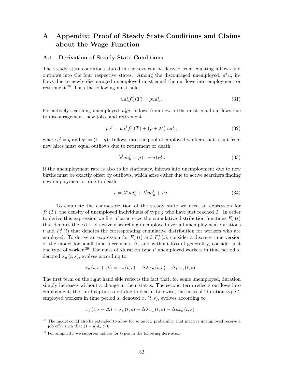# A Appendix: Proof of Steady State Conditions and Claims about the Wage Function

#### A.1 Derivation of Steady State Conditions

The steady state conditions stated in the text can be derived from equating inflows and outflows into the four respective states. Among the discouraged unemployed,  $d_u^j u$ , inflows due to newly discouraged unemployed must equal the outflows into employment or retirement.<sup>38</sup> Thus the following must hold

$$
ua_u^j f_u^j(T) = \rho u d_u^j. \tag{31}
$$

For actively searching unemployed,  $a_u^j u$ , inflows from new births must equal outflows due to discouragement, new jobs, and retirement

$$
\rho q^{j} = u a_{u}^{j} f_{u}^{j} (T) + (\rho + \lambda^{j}) u a_{u}^{j} , \qquad (32)
$$

where  $q^{l} = q$  and  $q^{h} = (1 - q)$ . Inflows into the pool of employed workers that result from new hires must equal outflows due to retirement or death

$$
\lambda^j u a_u^j = \rho \left( 1 - u \right) e_e^j. \tag{33}
$$

If the unemployment rate is also to be stationary, inflows into unemployment due to new births must be exactly offset by outflows, which arise either due to active searchers finding new employment or due to death

$$
\rho = \lambda^h u a_u^h + \lambda^l u a_u^l + \rho u \,. \tag{34}
$$

To complete the characterization of the steady state we need an expression for  $f_u^j(T)$ , the density of unemployed individuals of type j who have just reached T. In order to derive this expression we first characterize the cumulative distribution functions  $F_u^j(t)$ that denotes the c.d.f. of actively searching unemployed over all unemployment durations t and  $F_e^j(t)$  that denotes the corresponding cumulative distribution for workers who are employed. To derive an expression for  $F_u^j(t)$  and  $F_e^j(t)$ , consider a discrete time version of the model for small time increments  $\Delta$ , and without loss of generality, consider just one type of worker.<sup>39</sup> The mass of 'duration type t' unemployed workers in time period s, denoted  $x_u(t, s)$ , evolves according to

$$
x_u(t, s + \Delta) = x_u(t, s) - \Delta \lambda x_u(t, s) - \Delta \rho x_u(t, s) .
$$

The first term on the right hand side reflects the fact that, for some unemployed, duration simply increases without a change in their status. The second term reflects outflows into employment, the third captures exit due to death. Likewise, the mass of 'duration type t' employed workers in time period s, denoted  $x_e(t, s)$ , evolves according to

$$
x_e(t, s + \Delta) = x_e(t, s) + \Delta \lambda x_u(t, s) - \Delta \rho x_e(t, s) .
$$

<sup>&</sup>lt;sup>38</sup> The model could also be extended to allow for some low probability that inactive unemployed receive a job offer such that  $(1 - u)d_u^j > 0$ .

 $39$  For simplicity, we suppress indices for types in the following derivation.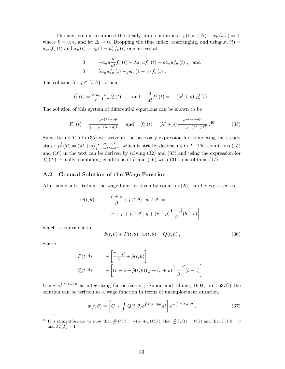The next step is to impose the steady state conditions  $x_k (t, s + \Delta) - x_k (t, s) = 0$ , where  $k = u, e$ , and let  $\Delta \to 0$ . Dropping the time index, rearranging, and using  $x_u(t) =$  $a_uuf_u(t)$  and  $x_e(t) = a_e(1-u) f_e(t)$  one arrives at

$$
0 = -a_u u \frac{d}{dt} f_u(t) - \lambda a_u u f_u(t) - \rho a_u u f_u(t) , \text{ and}
$$
  
\n
$$
0 = \lambda a_u u f_u(t) - \rho a_e (1 - u) f_e(t) .
$$

The solution for  $j \in \{l, h\}$  is then

$$
f_e^j(t) = \frac{\lambda^j a_u}{\rho} \frac{u}{1-u} f_u^j(t) , \quad \text{and} \quad \frac{d}{dt} f_u^j(t) = -(\lambda^j + \rho) f_u^j(t) .
$$

The solution of this system of differential equations can be shown to be

$$
F_u^j(t) = \frac{1 - e^{-(\lambda^j + \rho)t}}{1 - e^{-(\lambda^j + \rho)T}} \quad \text{and} \quad f_u^j(t) = (\lambda^j + \rho) \frac{e^{-(\lambda^j + \rho)t}}{1 - e^{-(\lambda^j + \rho)T}}.40 \tag{35}
$$

Substituting  $T$  into (35) we arrive at the necessary expression for completing the steady state:  $f_u^j(T) = (\lambda^j + \rho) \frac{e^{-(\lambda^j + \rho)T}}{1 - e^{(\lambda^j + \rho)}}$  $\frac{e^{-(\lambda^2+\mu)^2}}{1-e^{-(\lambda^j+\rho)T}}$ , which is strictly decreasing in T. The conditions (15) and (16) in the text can be derived by solving (32) and (33) and using the expression for  $f_u^j(T)$ . Finally, combining conditions (15) and (16) with (31), one obtains (17).

#### A.2 General Solution of the Wage Function

After some substitution, the wage function given by equation (25) can be expressed as

$$
\dot{w}(t,\theta) - \left[\frac{r+\rho}{\beta} + \tilde{p}(t,\theta)\right]w(t,\theta) =
$$
  
- 
$$
\left[ (r+\rho + \tilde{p}(t,\theta))y + (r+\rho)\frac{1-\beta}{\beta}(b-c) \right],
$$

which is equivalent to

$$
\dot{w}(t,\theta) + P(t,\theta) \cdot w(t,\theta) = Q(t,\theta) , \qquad (36)
$$

where

$$
P(t, \theta) = -\left[\frac{r+\rho}{\beta} + \tilde{p}(t, \theta)\right]
$$
  
\n
$$
Q(t, \theta) = -\left[(r+\rho+\tilde{p}(t, \theta))y + (r+\rho)\frac{1-\beta}{\beta}(b-c)\right].
$$

Using  $e^{\int P(t,\theta)dt}$  as integrating factor (see e.g. Simon and Blume, 1994, pp. 637ff) the solution can be written as a wage function in terms of unemployment duration,

$$
w(t,\theta) = \left[C + \int Q(t,\theta)e^{\int P(t,\theta)dt}dt\right]e^{-\int P(t,\theta)dt},\qquad(37)
$$

<sup>&</sup>lt;sup>40</sup> It is straightforward to show that  $\frac{\partial}{\partial t} f_u^j(t) = -(\lambda^j + \rho) f_u^j(t)$ , that  $\frac{\partial}{\partial t} F_u^j(t) = f_u^j(t)$  and that  $F_u^j(0) = 0$ and  $F_u^j(T) = 1$ .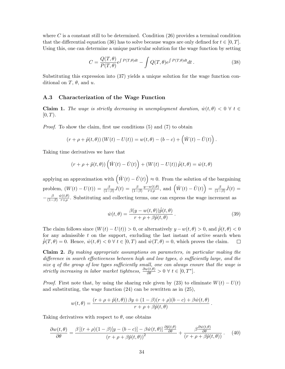where  $C$  is a constant still to be determined. Condition  $(26)$  provides a terminal condition that the differential equation (36) has to solve because wages are only defined for  $t \in [0, T]$ . Using this, one can determine a unique particular solution for the wage function by setting

$$
C = \frac{Q(T,\theta)}{P(T,\theta)} e^{\int P(T,\theta)dt} - \int Q(T,\theta) e^{\int P(T,\theta)dt} dt.
$$
 (38)

Substituting this expression into (37) yields a unique solution for the wage function conditional on T,  $\theta$ , and u.

#### A.3 Characterization of the Wage Function

**Claim 1.** The wage is strictly decreasing in unemployment duration,  $\dot{w}(t, \theta) < 0 \ \forall t \in$  $[0, T)$ .

Proof. To show the claim, first use conditions (5) and (7) to obtain

$$
(r + \rho + \tilde{p}(t, \theta)) (W(t) - U(t)) = w(t, \theta) - (b - c) + (\dot{W}(t) - \dot{U}(t)).
$$

Taking time derivatives we have that

$$
(r + \rho + \tilde{p}(t, \theta)) \left(\dot{W}(t) - \dot{U}(t)\right) + \left(W(t) - U(t)\right) \dot{\tilde{p}}(t, \theta) = \dot{w}(t, \theta)
$$

applying an approximation with  $\left(\ddot{W}(t) - \ddot{U}(t)\right)$ ´  $\approx 0$ . From the solution of the bargaining problem,  $(W(t) - U(t)) = \frac{\beta}{(1-\beta)}J(t) = \frac{\beta}{(1-\beta)}$  $y-w(t,\theta)$  $rac{w(t,\theta)}{r+\rho}$ , and  $\left(\dot{W}(t) - \dot{U}(t)\right)$ ´  $=$   $\frac{\beta}{1}$  $\frac{\beta}{(1-\beta)}\dot{J}(t) =$  $-\frac{\beta}{11}$  $(1-\beta)$  $\dot{w}(t,\theta)$  $\frac{\partial (t,\theta)}{\partial r+\rho}$ . Substituting and collecting terms, one can express the wage increment as

$$
\dot{w}(t,\theta) = \frac{\beta(y - w(t,\theta))\dot{\tilde{p}}(t,\theta)}{r + \rho + \beta \tilde{p}(t,\theta)}.
$$
\n(39)

.

The claim follows since  $(W(t) - U(t)) > 0$ , or alternatively  $y - w(t, \theta) > 0$ , and  $\dot{\tilde{p}}(t, \theta) < 0$ for any admissible  $t$  on the support, excluding the last instant of active search when  $\tilde{p}(T,\theta) = 0$ . Hence,  $\dot{w}(t,\theta) < 0 \ \forall t \in [0,T)$  and  $\dot{w}(T,\theta) = 0$ , which proves the claim. □

Claim 2. By making appropriate assumptions on parameters, in particular making the difference in search effectiveness between high and low types,  $\phi$  sufficiently large, and the size q of the group of low types sufficiently small, one can always ensure that the wage is strictly increasing in labor market tightness,  $\frac{\partial w(t,\theta)}{\partial \theta} > 0 \ \forall \ t \in [0,T^*].$ 

*Proof.* First note that, by using the sharing rule given by (23) to eliminate  $W(t) - U(t)$ and substituting, the wage function (24) can be rewritten as in (25),

$$
w(t, \theta) = \frac{(r + \rho + \tilde{p}(t, \theta)) \beta y + (1 - \beta)(r + \rho)(b - c) + \beta \dot{w}(t, \theta)}{r + \rho + \beta \tilde{p}(t, \theta)}
$$

Taking derivatives with respect to  $\theta$ , one obtains

$$
\frac{\partial w(t,\theta)}{\partial \theta} = \frac{\beta \left[ (r+\rho)(1-\beta)[y-(b-c)] - \beta \dot{w}(t,\theta) \right] \frac{\partial \tilde{p}(t,\theta)}{\partial \theta}}{(r+\rho+\beta \tilde{p}(t,\theta))^2} + \frac{\beta \frac{\partial \dot{w}(t,\theta)}{\partial \theta}}{(r+\rho+\beta \tilde{p}(t,\theta))}. \tag{40}
$$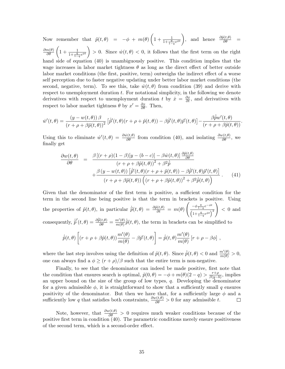Now remember that  $\tilde{p}(t, \theta) = -\phi + m(\theta)$  $\overline{a}$  $1 + \frac{1}{1 + \frac{q}{1 - q} e^{\phi t}}$ , and hence  $\frac{\partial \tilde{p}(t, \theta)}{\partial \theta}$  =  $\partial m(\theta)$  $\frac{m(\theta)}{\partial \theta} \left(1 + \frac{1}{1 + \frac{q}{1 - q} e^{\phi t}}\right) > 0.$  Since  $\dot{w}(t, \theta) < 0$ , it follows that the first term on the right hand side of equation (40) is unambiguously positive. This condition implies that the wage increases in labor market tightness  $\theta$  as long as the direct effect of better outside labor market conditions (the first, positive, term) outweighs the indirect effect of a worse self perception due to faster negative updating under better labor market conditions (the second, negative, term). To see this, take  $\dot{w}(t, \theta)$  from condition (39) and derive with respect to unemployment duration t. For notational simplicity, in the following we denote derivatives with respect to unemployment duration t by  $\dot{x} = \frac{\partial x}{\partial t}$ , and derivatives with respect to labor market tightness  $\theta$  by  $x' = \frac{\partial x}{\partial \theta}$ . Then,

$$
\dot{w}'(t,\theta) = \frac{(y - w(t,\theta))\beta}{(r + \rho + \beta\tilde{p}(t,\theta))^2} \left[ \dot{\tilde{p}}'(t,\theta)(r + \rho + \tilde{p}(t,\theta)) - \beta\dot{\tilde{p}}'(t,\theta)\tilde{p}'(t,\theta) \right] - \frac{\beta\dot{\tilde{p}}w'(t,\theta)}{(r + \rho + \beta\tilde{p}(t,\theta))}.
$$

Using this to eliminate  $\dot{w}'(t,\theta) = \frac{\partial \dot{w}(t,\theta)}{\partial \theta}$  from condition (40), and isolating  $\frac{\partial w(t,\theta)}{\partial \theta}$ , we finally get

$$
\frac{\partial w(t,\theta)}{\partial \theta} = \frac{\beta \left[ (r+\rho)(1-\beta)[y-(b-c)] - \beta \dot{w}(t,\theta) \right] \frac{\partial \tilde{p}(t,\theta)}{\partial \theta}}{(r+\rho+\beta \tilde{p}(t,\theta))^2 + \beta^2 \dot{\tilde{p}}}
$$

$$
+ \frac{\beta \left( y - w(t,\theta) \right) \left[ \dot{\tilde{p}}'(t,\theta)(r+\rho+\tilde{p}(t,\theta)) - \beta \dot{\tilde{p}}'(t,\theta) \tilde{p}'(t,\theta) \right]}{(r+\rho+\beta \tilde{p}(t,\theta)) \left( (r+\rho+\beta \tilde{p}(t,\theta))^2 + \beta^2 \dot{\tilde{p}}(t,\theta) \right)} . \tag{41}
$$

Given that the denominator of the first term is positive, a sufficient condition for the term in the second line being positive is that the term in brackets is positive. Using the properties of  $\tilde{p}(t, \theta)$ , in particular  $\dot{\tilde{p}}(t, \theta) = \frac{\partial \tilde{p}(t, \theta)}{\partial t} = m(\theta) \left( \frac{-\phi \frac{q}{1-q} e^{-\phi t}}{\int_{\phi} \frac{1}{\phi} \left( \frac{1}{\phi} - \phi \frac{1}{\phi} \right)} \right)$  $\frac{\varphi_{1-q}e^{\varphi_{1-q}}}{\left(1+\frac{q}{1-q}e^{\phi t}\right)^2}$  < 0 and consequently,  $\hat{p}'(t, \theta) = \frac{\partial \hat{p}(t, \theta)}{\partial \theta} = \frac{m'(\theta)}{m(\theta)}$  $\frac{m'(\theta)}{m(\theta)}\dot{\widetilde{p}}(t,\theta)$ , the term in brackets can be simplified to

$$
\dot{\tilde{p}}(t,\theta)\left[(r+\rho+\beta\tilde{p}(t,\theta))\frac{m'(\theta)}{m(\theta)}-\beta\tilde{p}'(t,\theta)\right]=\dot{\tilde{p}}(t,\theta)\frac{m'(\theta)}{m(\theta)}\left[r+\rho-\beta\phi\right],
$$

where the last step involves using the definition of  $\tilde{p}(t, \theta)$ . Since  $\dot{\tilde{p}}(t, \theta) < 0$  and  $\frac{m'(\theta)}{m(\theta)} > 0$ , one can always find a  $\phi \ge (r + \rho)/\beta$  such that the entire term is non-negative.

Finally, to see that the denominator can indeed be made positive, first note that the condition that ensures search is optimal,  $\tilde{p}(0, \theta) = -\phi + m(\theta)(2 - q) > \frac{r+\rho}{\beta(\theta-\theta)}$  $\frac{r+\rho}{\beta(y-b)}$ , implies an upper bound on the size of the group of low types, q. Developing the denominator for a given admissible  $\phi$ , it is straightforward to show that a sufficiently small q ensures positivity of the denominator. But then we have that, for a sufficiently large  $\phi$  and a sufficiently low q that satisfies both constraints,  $\frac{\partial w(t,\theta)}{\partial \theta} > 0$  for any admissible t.

Note, however, that  $\frac{\partial w(t,\theta)}{\partial \theta} > 0$  requires much weaker conditions because of the positive first term in condition (40). The parametric conditions merely ensure positiveness of the second term, which is a second-order effect.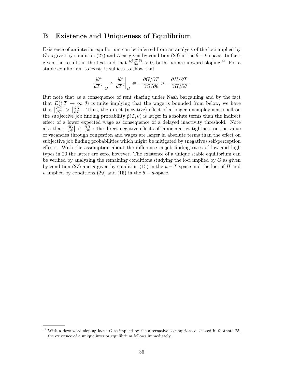### B Existence and Uniqueness of Equilibrium

Existence of an interior equilibrium can be inferred from an analysis of the loci implied by G as given by condition (27) and H as given by condition (29) in the  $\theta - T$ -space. In fact, given the results in the text and that  $\frac{\partial \tilde{p}(T,\theta)}{\partial \theta} > 0$ , both loci are upward sloping.<sup>41</sup> For a stable equilibrium to exist, it suffices to show that

$$
\left. \frac{d\theta^*}{dT^*} \right|_G > \left. \frac{d\theta^*}{dT^*} \right|_H \Leftrightarrow -\frac{\partial G/\partial T}{\partial G/\partial \theta} > -\frac{\partial H/\partial T}{\partial H/\partial \theta}.
$$

But note that as a consequence of rent sharing under Nash bargaining and by the fact that  $E(t|T \to \infty, \theta)$  is finite implying that the wage is bounded from below, we have that  $\frac{\partial \hat{G}}{\partial T}$  $\frac{\partial \grave{G}}{\partial T}\big|>\big|\frac{\partial H}{\partial T}$  $\frac{\partial H}{\partial T}$ . Thus, the direct (negative) effect of a longer unemployment spell on the subjective job finding probability  $\tilde{p}(T, \theta)$  is larger in absolute terms than the indirect effect of a lower expected wage as consequence of a delayed inactivity threshold. Note also that,  $\frac{\partial G}{\partial \theta}$  $\left|\frac{\partial G}{\partial \theta}\right|<\left|\frac{\partial H}{\partial \theta}\right|$  $\frac{\partial H}{\partial \theta}$ : the direct negative effects of labor market tightness on the value of vacancies through congestion and wages are larger in absolute terms than the effect on subjective job finding probabilities which might be mitigated by (negative) self-perception effects. With the assumption about the difference in job finding rates of low and high types in 20 the latter are zero, however. The existence of a unique stable equilibrium can be verified by analyzing the remaining conditions studying the loci implied by  $G$  as given by condition (27) and u given by condition (15) in the  $u - T$ -space and the loci of H and u implied by conditions (29) and (15) in the  $\theta - u$ -space.

<sup>&</sup>lt;sup>41</sup> With a downward sloping locus  $G$  as implied by the alternative assumptions discussed in footnote 25, the existence of a unique interior equilibrium follows immediately.